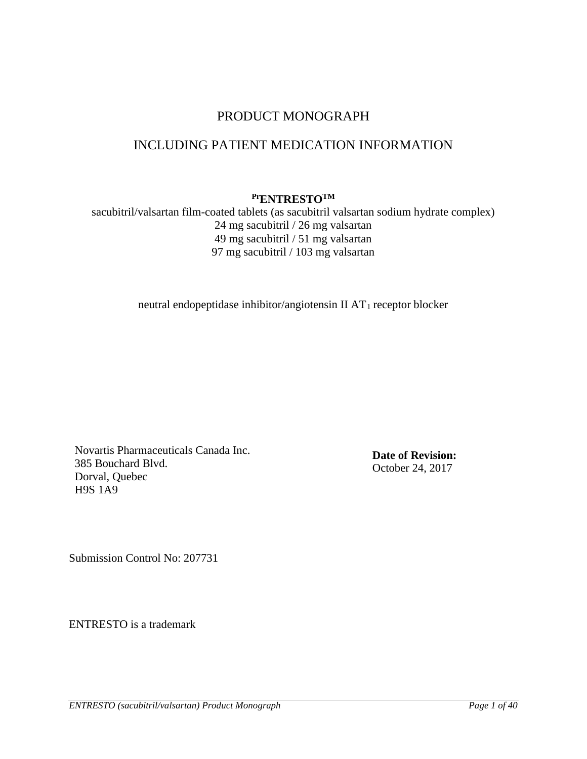# PRODUCT MONOGRAPH

# INCLUDING PATIENT MEDICATION INFORMATION

# **PrENTRESTOTM**

sacubitril/valsartan film-coated tablets (as sacubitril valsartan sodium hydrate complex) 24 mg sacubitril / 26 mg valsartan 49 mg sacubitril / 51 mg valsartan 97 mg sacubitril / 103 mg valsartan

neutral endopeptidase inhibitor/angiotensin II AT<sub>1</sub> receptor blocker

Novartis Pharmaceuticals Canada Inc. 385 Bouchard Blvd. Dorval, Quebec H9S 1A9

**Date of Revision:** October 24, 2017

Submission Control No: 207731

ENTRESTO is a trademark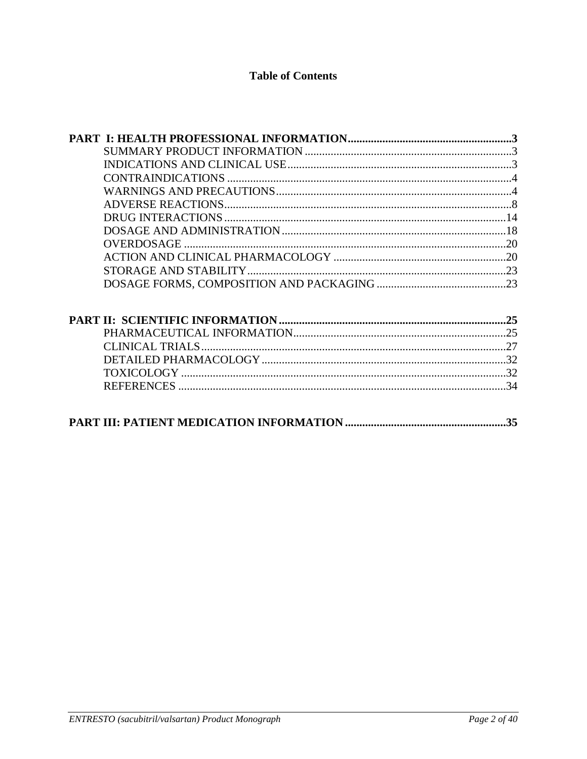# **Table of Contents**

| .35 |
|-----|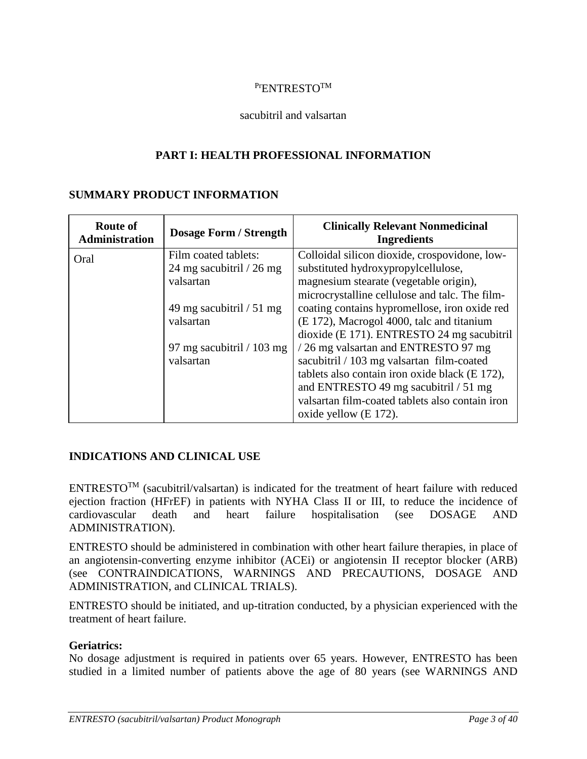# <span id="page-2-0"></span>Pr<sub>ENTRESTO</sub>TM

#### <span id="page-2-1"></span>sacubitril and valsartan

### **PART I: HEALTH PROFESSIONAL INFORMATION**

#### **SUMMARY PRODUCT INFORMATION**

| <b>Route of</b><br><b>Administration</b> | <b>Dosage Form / Strength</b> | <b>Clinically Relevant Nonmedicinal</b><br><b>Ingredients</b> |
|------------------------------------------|-------------------------------|---------------------------------------------------------------|
| Oral                                     | Film coated tablets:          | Colloidal silicon dioxide, crospovidone, low-                 |
|                                          | 24 mg sacubitril / 26 mg      | substituted hydroxypropylcellulose,                           |
|                                          | valsartan                     | magnesium stearate (vegetable origin),                        |
|                                          |                               | microcrystalline cellulose and talc. The film-                |
|                                          | 49 mg sacubitril $/51$ mg     | coating contains hypromellose, iron oxide red                 |
|                                          | valsartan                     | (E 172), Macrogol 4000, talc and titanium                     |
|                                          |                               | dioxide (E 171). ENTRESTO 24 mg sacubitril                    |
|                                          | 97 mg sacubitril $/ 103$ mg   | /26 mg valsartan and ENTRESTO 97 mg                           |
|                                          | valsartan                     | sacubitril / 103 mg valsartan film-coated                     |
|                                          |                               | tablets also contain iron oxide black (E 172),                |
|                                          |                               | and ENTRESTO 49 mg sacubitril / 51 mg                         |
|                                          |                               | valsartan film-coated tablets also contain iron               |
|                                          |                               | oxide yellow (E 172).                                         |

# <span id="page-2-2"></span>**INDICATIONS AND CLINICAL USE**

ENTRESTOTM (sacubitril/valsartan) is indicated for the treatment of heart failure with reduced ejection fraction (HFrEF) in patients with NYHA Class II or III, to reduce the incidence of cardiovascular death and heart failure hospitalisation (see DOSAGE AND ADMINISTRATION).

ENTRESTO should be administered in combination with other heart failure therapies, in place of an angiotensin-converting enzyme inhibitor (ACEi) or angiotensin II receptor blocker (ARB) (see CONTRAINDICATIONS, WARNINGS AND PRECAUTIONS, DOSAGE AND ADMINISTRATION, and CLINICAL TRIALS).

ENTRESTO should be initiated, and up-titration conducted, by a physician experienced with the treatment of heart failure.

#### **Geriatrics:**

No dosage adjustment is required in patients over 65 years. However, ENTRESTO has been studied in a limited number of patients above the age of 80 years (see WARNINGS AND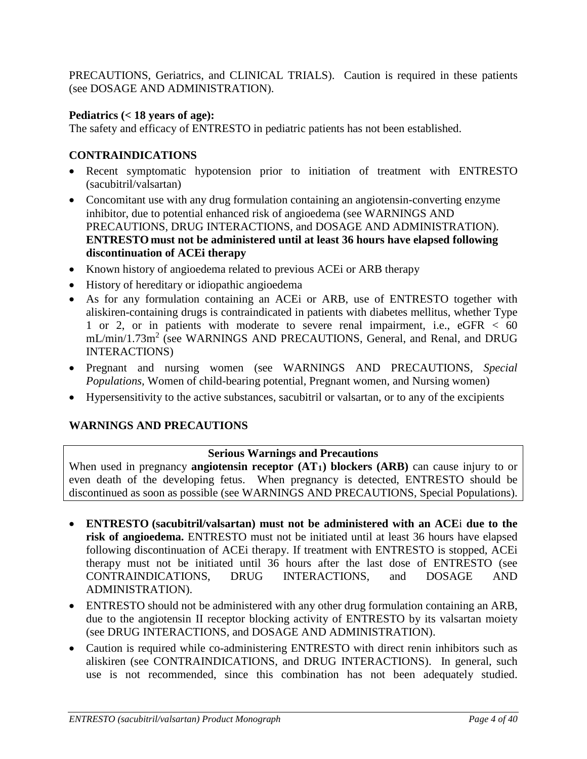PRECAUTIONS, Geriatrics, and CLINICAL TRIALS). Caution is required in these patients (see DOSAGE AND ADMINISTRATION).

# **Pediatrics (< 18 years of age):**

The safety and efficacy of ENTRESTO in pediatric patients has not been established.

# <span id="page-3-0"></span>**CONTRAINDICATIONS**

- Recent symptomatic hypotension prior to initiation of treatment with ENTRESTO (sacubitril/valsartan)
- Concomitant use with any drug formulation containing an angiotensin-converting enzyme inhibitor, due to potential enhanced risk of angioedema (see WARNINGS AND PRECAUTIONS, DRUG INTERACTIONS, and DOSAGE AND ADMINISTRATION). **ENTRESTO must not be administered until at least 36 hours have elapsed following discontinuation of ACEi therapy**
- Known history of angioedema related to previous ACE or ARB therapy
- History of hereditary or idiopathic angioedema
- As for any formulation containing an ACEi or ARB, use of ENTRESTO together with aliskiren-containing drugs is contraindicated in patients with diabetes mellitus, whether Type 1 or 2, or in patients with moderate to severe renal impairment, i.e., eGFR < 60 mL/min/1.73m<sup>2</sup> (see WARNINGS AND PRECAUTIONS, General, and Renal, and DRUG INTERACTIONS)
- Pregnant and nursing women (see WARNINGS AND PRECAUTIONS, *Special Populations,* Women of child-bearing potential, Pregnant women, and Nursing women)
- Hypersensitivity to the active substances, sacubitril or valsartan, or to any of the excipients

# **WARNINGS AND PRECAUTIONS**

# <span id="page-3-1"></span>**Serious Warnings and Precautions**

When used in pregnancy **angiotensin receptor**  $(AT<sub>1</sub>)$  **blockers**  $(ARB)$  can cause injury to or even death of the developing fetus. When pregnancy is detected, ENTRESTO should be discontinued as soon as possible (see WARNINGS AND PRECAUTIONS, Special Populations).

- **ENTRESTO (sacubitril/valsartan) must not be administered with an ACE**i **due to the risk of angioedema.** ENTRESTO must not be initiated until at least 36 hours have elapsed following discontinuation of ACEi therapy. If treatment with ENTRESTO is stopped, ACEi therapy must not be initiated until 36 hours after the last dose of ENTRESTO (see CONTRAINDICATIONS, DRUG INTERACTIONS, and DOSAGE AND ADMINISTRATION).
- ENTRESTO should not be administered with any other drug formulation containing an ARB, due to the angiotensin II receptor blocking activity of ENTRESTO by its valsartan moiety (see DRUG INTERACTIONS, and DOSAGE AND ADMINISTRATION).
- Caution is required while co-administering ENTRESTO with direct renin inhibitors such as aliskiren (see CONTRAINDICATIONS, and DRUG INTERACTIONS). In general, such use is not recommended, since this combination has not been adequately studied.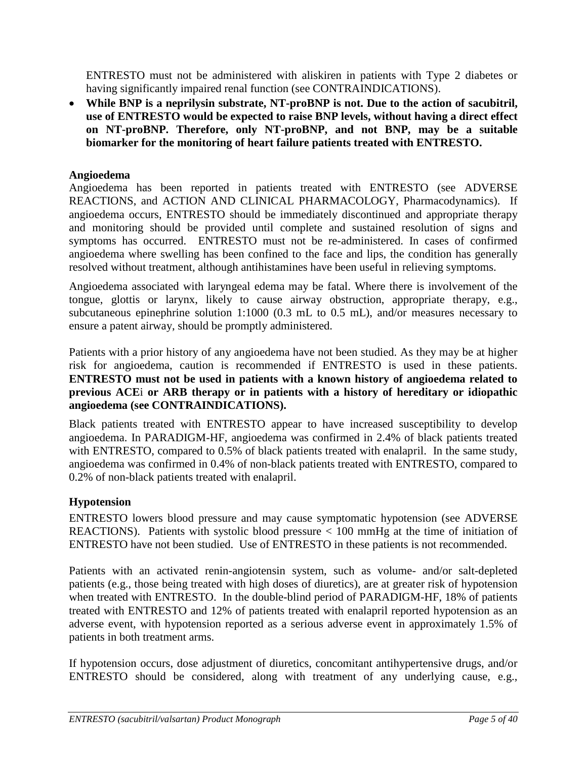ENTRESTO must not be administered with aliskiren in patients with Type 2 diabetes or having significantly impaired renal function (see CONTRAINDICATIONS).

• **While BNP is a neprilysin substrate, NT-proBNP is not. Due to the action of sacubitril, use of ENTRESTO would be expected to raise BNP levels, without having a direct effect on NT-proBNP. Therefore, only NT-proBNP, and not BNP, may be a suitable biomarker for the monitoring of heart failure patients treated with ENTRESTO.** 

# **Angioedema**

Angioedema has been reported in patients treated with ENTRESTO (see ADVERSE REACTIONS, and ACTION AND CLINICAL PHARMACOLOGY, Pharmacodynamics). If angioedema occurs, ENTRESTO should be immediately discontinued and appropriate therapy and monitoring should be provided until complete and sustained resolution of signs and symptoms has occurred. ENTRESTO must not be re-administered. In cases of confirmed angioedema where swelling has been confined to the face and lips, the condition has generally resolved without treatment, although antihistamines have been useful in relieving symptoms.

Angioedema associated with laryngeal edema may be fatal. Where there is involvement of the tongue, glottis or larynx, likely to cause airway obstruction, appropriate therapy, e.g., subcutaneous epinephrine solution 1:1000 (0.3 mL to 0.5 mL), and/or measures necessary to ensure a patent airway, should be promptly administered.

Patients with a prior history of any angioedema have not been studied. As they may be at higher risk for angioedema, caution is recommended if ENTRESTO is used in these patients. **ENTRESTO must not be used in patients with a known history of angioedema related to previous ACE**i **or ARB therapy or in patients with a history of hereditary or idiopathic angioedema (see CONTRAINDICATIONS).**

Black patients treated with ENTRESTO appear to have increased susceptibility to develop angioedema. In PARADIGM-HF, angioedema was confirmed in 2.4% of black patients treated with ENTRESTO, compared to 0.5% of black patients treated with enalapril. In the same study, angioedema was confirmed in 0.4% of non-black patients treated with ENTRESTO, compared to 0.2% of non-black patients treated with enalapril.

# **Hypotension**

ENTRESTO lowers blood pressure and may cause symptomatic hypotension (see ADVERSE REACTIONS). Patients with systolic blood pressure < 100 mmHg at the time of initiation of ENTRESTO have not been studied. Use of ENTRESTO in these patients is not recommended.

Patients with an activated renin-angiotensin system, such as volume- and/or salt-depleted patients (e.g., those being treated with high doses of diuretics), are at greater risk of hypotension when treated with ENTRESTO. In the double-blind period of PARADIGM-HF, 18% of patients treated with ENTRESTO and 12% of patients treated with enalapril reported hypotension as an adverse event, with hypotension reported as a serious adverse event in approximately 1.5% of patients in both treatment arms.

If hypotension occurs, dose adjustment of diuretics, concomitant antihypertensive drugs, and/or ENTRESTO should be considered, along with treatment of any underlying cause, e.g.,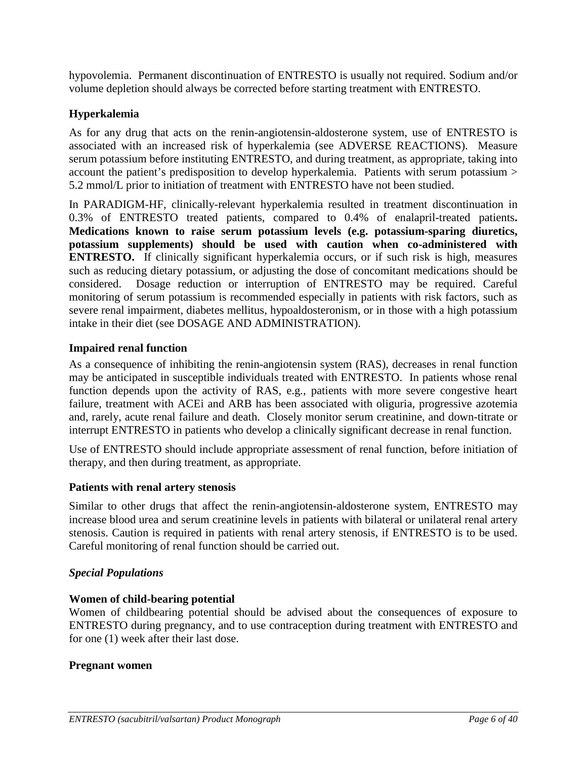hypovolemia. Permanent discontinuation of ENTRESTO is usually not required. Sodium and/or volume depletion should always be corrected before starting treatment with ENTRESTO.

# **Hyperkalemia**

As for any drug that acts on the renin-angiotensin-aldosterone system, use of ENTRESTO is associated with an increased risk of hyperkalemia (see ADVERSE REACTIONS). Measure serum potassium before instituting ENTRESTO, and during treatment, as appropriate, taking into account the patient's predisposition to develop hyperkalemia. Patients with serum potassium > 5.2 mmol/L prior to initiation of treatment with ENTRESTO have not been studied.

In PARADIGM-HF, clinically-relevant hyperkalemia resulted in treatment discontinuation in 0.3% of ENTRESTO treated patients, compared to 0.4% of enalapril-treated patients**. Medications known to raise serum potassium levels (e.g. potassium-sparing diuretics, potassium supplements) should be used with caution when co-administered with ENTRESTO.** If clinically significant hyperkalemia occurs, or if such risk is high, measures such as reducing dietary potassium, or adjusting the dose of concomitant medications should be considered. Dosage reduction or interruption of ENTRESTO may be required. Careful monitoring of serum potassium is recommended especially in patients with risk factors, such as severe renal impairment, diabetes mellitus, hypoaldosteronism, or in those with a high potassium intake in their diet (see DOSAGE AND ADMINISTRATION).

# **Impaired renal function**

As a consequence of inhibiting the renin-angiotensin system (RAS), decreases in renal function may be anticipated in susceptible individuals treated with ENTRESTO. In patients whose renal function depends upon the activity of RAS, e.g., patients with more severe congestive heart failure, treatment with ACEi and ARB has been associated with oliguria, progressive azotemia and, rarely, acute renal failure and death. Closely monitor serum creatinine, and down-titrate or interrupt ENTRESTO in patients who develop a clinically significant decrease in renal function.

Use of ENTRESTO should include appropriate assessment of renal function, before initiation of therapy, and then during treatment, as appropriate.

#### **Patients with renal artery stenosis**

Similar to other drugs that affect the renin-angiotensin-aldosterone system, ENTRESTO may increase blood urea and serum creatinine levels in patients with bilateral or unilateral renal artery stenosis. Caution is required in patients with renal artery stenosis, if ENTRESTO is to be used. Careful monitoring of renal function should be carried out.

# *Special Populations*

# **Women of child-bearing potential**

Women of childbearing potential should be advised about the consequences of exposure to ENTRESTO during pregnancy, and to use contraception during treatment with ENTRESTO and for one (1) week after their last dose.

#### **Pregnant women**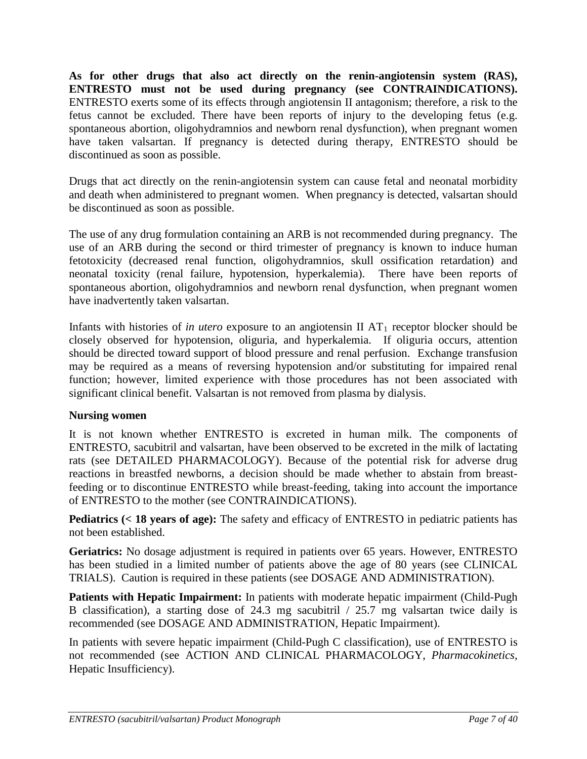**As for other drugs that also act directly on the renin-angiotensin system (RAS), ENTRESTO must not be used during pregnancy (see CONTRAINDICATIONS).** ENTRESTO exerts some of its effects through angiotensin II antagonism; therefore, a risk to the fetus cannot be excluded. There have been reports of injury to the developing fetus (e.g. spontaneous abortion, oligohydramnios and newborn renal dysfunction), when pregnant women have taken valsartan. If pregnancy is detected during therapy, ENTRESTO should be discontinued as soon as possible.

Drugs that act directly on the renin-angiotensin system can cause fetal and neonatal morbidity and death when administered to pregnant women. When pregnancy is detected, valsartan should be discontinued as soon as possible.

The use of any drug formulation containing an ARB is not recommended during pregnancy. The use of an ARB during the second or third trimester of pregnancy is known to induce human fetotoxicity (decreased renal function, oligohydramnios, skull ossification retardation) and neonatal toxicity (renal failure, hypotension, hyperkalemia). There have been reports of spontaneous abortion, oligohydramnios and newborn renal dysfunction, when pregnant women have inadvertently taken valsartan.

Infants with histories of *in utero* exposure to an angiotensin II  $AT_1$  receptor blocker should be closely observed for hypotension, oliguria, and hyperkalemia. If oliguria occurs, attention should be directed toward support of blood pressure and renal perfusion. Exchange transfusion may be required as a means of reversing hypotension and/or substituting for impaired renal function; however, limited experience with those procedures has not been associated with significant clinical benefit. Valsartan is not removed from plasma by dialysis.

# **Nursing women**

It is not known whether ENTRESTO is excreted in human milk. The components of ENTRESTO, sacubitril and valsartan, have been observed to be excreted in the milk of lactating rats (see DETAILED PHARMACOLOGY). Because of the potential risk for adverse drug reactions in breastfed newborns, a decision should be made whether to abstain from breastfeeding or to discontinue ENTRESTO while breast-feeding, taking into account the importance of ENTRESTO to the mother (see CONTRAINDICATIONS).

**Pediatrics (< 18 years of age):** The safety and efficacy of ENTRESTO in pediatric patients has not been established.

**Geriatrics:** No dosage adjustment is required in patients over 65 years. However, ENTRESTO has been studied in a limited number of patients above the age of 80 years (see CLINICAL TRIALS). Caution is required in these patients (see DOSAGE AND ADMINISTRATION).

**Patients with Hepatic Impairment:** In patients with moderate hepatic impairment (Child-Pugh B classification), a starting dose of 24.3 mg sacubitril / 25.7 mg valsartan twice daily is recommended (see DOSAGE AND ADMINISTRATION, Hepatic Impairment).

In patients with severe hepatic impairment (Child-Pugh C classification), use of ENTRESTO is not recommended (see ACTION AND CLINICAL PHARMACOLOGY, *Pharmacokinetics,*  Hepatic Insufficiency).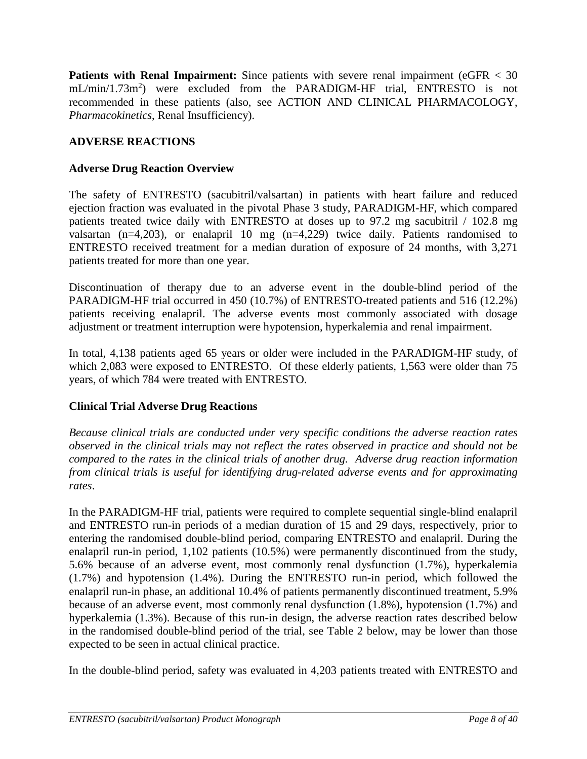**Patients with Renal Impairment:** Since patients with severe renal impairment (eGFR  $\lt 30$ ) mL/min/1.73m<sup>2</sup>) were excluded from the PARADIGM-HF trial, ENTRESTO is not recommended in these patients (also, see ACTION AND CLINICAL PHARMACOLOGY, *Pharmacokinetics*, Renal Insufficiency).

# <span id="page-7-0"></span>**ADVERSE REACTIONS**

# **Adverse Drug Reaction Overview**

The safety of ENTRESTO (sacubitril/valsartan) in patients with heart failure and reduced ejection fraction was evaluated in the pivotal Phase 3 study, PARADIGM-HF, which compared patients treated twice daily with ENTRESTO at doses up to 97.2 mg sacubitril / 102.8 mg valsartan (n=4,203), or enalapril 10 mg (n=4,229) twice daily. Patients randomised to ENTRESTO received treatment for a median duration of exposure of 24 months, with 3,271 patients treated for more than one year.

Discontinuation of therapy due to an adverse event in the double-blind period of the PARADIGM-HF trial occurred in 450 (10.7%) of ENTRESTO-treated patients and 516 (12.2%) patients receiving enalapril. The adverse events most commonly associated with dosage adjustment or treatment interruption were hypotension, hyperkalemia and renal impairment.

In total, 4,138 patients aged 65 years or older were included in the PARADIGM-HF study, of which 2,083 were exposed to ENTRESTO. Of these elderly patients, 1,563 were older than 75 years, of which 784 were treated with ENTRESTO.

# **Clinical Trial Adverse Drug Reactions**

*Because clinical trials are conducted under very specific conditions the adverse reaction rates observed in the clinical trials may not reflect the rates observed in practice and should not be compared to the rates in the clinical trials of another drug. Adverse drug reaction information from clinical trials is useful for identifying drug-related adverse events and for approximating rates*.

In the PARADIGM-HF trial, patients were required to complete sequential single-blind enalapril and ENTRESTO run-in periods of a median duration of 15 and 29 days, respectively, prior to entering the randomised double-blind period, comparing ENTRESTO and enalapril. During the enalapril run-in period, 1,102 patients (10.5%) were permanently discontinued from the study, 5.6% because of an adverse event, most commonly renal dysfunction (1.7%), hyperkalemia (1.7%) and hypotension (1.4%). During the ENTRESTO run-in period, which followed the enalapril run-in phase, an additional 10.4% of patients permanently discontinued treatment, 5.9% because of an adverse event, most commonly renal dysfunction (1.8%), hypotension (1.7%) and hyperkalemia (1.3%). Because of this run-in design, the adverse reaction rates described below in the randomised double-blind period of the trial, see Table 2 below, may be lower than those expected to be seen in actual clinical practice.

In the double-blind period, safety was evaluated in 4,203 patients treated with ENTRESTO and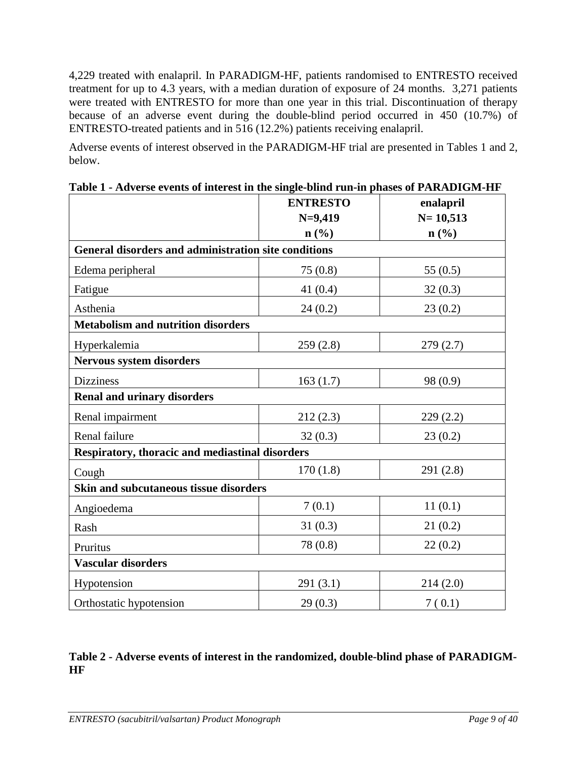4,229 treated with enalapril. In PARADIGM-HF, patients randomised to ENTRESTO received treatment for up to 4.3 years, with a median duration of exposure of 24 months. 3,271 patients were treated with ENTRESTO for more than one year in this trial. Discontinuation of therapy because of an adverse event during the double-blind period occurred in 450 (10.7%) of ENTRESTO-treated patients and in 516 (12.2%) patients receiving enalapril.

Adverse events of interest observed in the PARADIGM-HF trial are presented in Tables 1 and 2, below.

|                                                      | <b>ENTRESTO</b>             | enalapril                   |
|------------------------------------------------------|-----------------------------|-----------------------------|
|                                                      | $N=9,419$                   | $N = 10,513$                |
|                                                      | $n\left(\frac{0}{0}\right)$ | $n\left(\frac{0}{0}\right)$ |
| General disorders and administration site conditions |                             |                             |
| Edema peripheral                                     | 75(0.8)                     | 55 $(0.5)$                  |
| Fatigue                                              | 41(0.4)                     | 32(0.3)                     |
| Asthenia                                             | 24(0.2)                     | 23(0.2)                     |
| <b>Metabolism and nutrition disorders</b>            |                             |                             |
| Hyperkalemia                                         | 259(2.8)                    | 279(2.7)                    |
| Nervous system disorders                             |                             |                             |
| <b>Dizziness</b>                                     | 163(1.7)                    | 98 (0.9)                    |
| <b>Renal and urinary disorders</b>                   |                             |                             |
| Renal impairment                                     | 212(2.3)                    | 229(2.2)                    |
| Renal failure                                        | 32(0.3)                     | 23(0.2)                     |
| Respiratory, thoracic and mediastinal disorders      |                             |                             |
| Cough                                                | 170(1.8)                    | 291 (2.8)                   |
| Skin and subcutaneous tissue disorders               |                             |                             |
| Angioedema                                           | 7(0.1)                      | 11(0.1)                     |
| Rash                                                 | 31(0.3)                     | 21(0.2)                     |
| Pruritus                                             | 78 (0.8)                    | 22(0.2)                     |
| <b>Vascular disorders</b>                            |                             |                             |
| Hypotension                                          | 291(3.1)                    | 214(2.0)                    |
| Orthostatic hypotension                              | 29(0.3)                     | 7(0.1)                      |

**Table 1 - Adverse events of interest in the single-blind run-in phases of PARADIGM-HF**

# **Table 2 - Adverse events of interest in the randomized, double-blind phase of PARADIGM-HF**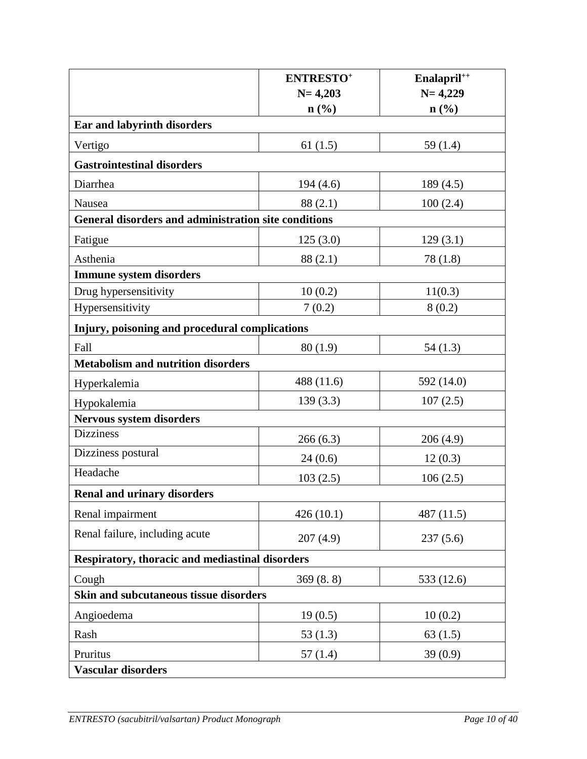|                                                      | <b>ENTRESTO</b> <sup>+</sup> | Enalapril <sup>++</sup>     |  |  |  |
|------------------------------------------------------|------------------------------|-----------------------------|--|--|--|
|                                                      | $N = 4,203$                  | $N = 4,229$                 |  |  |  |
| Ear and labyrinth disorders                          | $\mathbf{n}(\%)$             | $n\left(\frac{0}{0}\right)$ |  |  |  |
|                                                      |                              |                             |  |  |  |
| Vertigo                                              | 61(1.5)                      | 59(1.4)                     |  |  |  |
| <b>Gastrointestinal disorders</b>                    |                              |                             |  |  |  |
| Diarrhea                                             | 194(4.6)                     | 189(4.5)                    |  |  |  |
| Nausea                                               | 88 (2.1)                     | 100(2.4)                    |  |  |  |
| General disorders and administration site conditions |                              |                             |  |  |  |
| Fatigue                                              | 125(3.0)                     | 129(3.1)                    |  |  |  |
| Asthenia                                             | 88 (2.1)                     | 78(1.8)                     |  |  |  |
| <b>Immune system disorders</b>                       |                              |                             |  |  |  |
| Drug hypersensitivity                                | 10(0.2)                      | 11(0.3)                     |  |  |  |
| Hypersensitivity                                     | 7(0.2)                       | 8(0.2)                      |  |  |  |
| Injury, poisoning and procedural complications       |                              |                             |  |  |  |
| Fall                                                 | 80(1.9)                      | 54(1.3)                     |  |  |  |
| <b>Metabolism and nutrition disorders</b>            |                              |                             |  |  |  |
| Hyperkalemia                                         | 488 (11.6)                   | 592 (14.0)                  |  |  |  |
| Hypokalemia                                          | 139(3.3)                     | 107(2.5)                    |  |  |  |
| <b>Nervous system disorders</b>                      |                              |                             |  |  |  |
| <b>Dizziness</b>                                     | 266(6.3)                     | 206(4.9)                    |  |  |  |
| Dizziness postural                                   | 24(0.6)                      | 12(0.3)                     |  |  |  |
| Headache                                             | 103(2.5)                     | 106(2.5)                    |  |  |  |
| <b>Renal and urinary disorders</b>                   |                              |                             |  |  |  |
| Renal impairment                                     | 426(10.1)                    | 487 (11.5)                  |  |  |  |
| Renal failure, including acute                       | 207(4.9)                     | 237(5.6)                    |  |  |  |
| Respiratory, thoracic and mediastinal disorders      |                              |                             |  |  |  |
| Cough                                                | 369(8.8)                     | 533 (12.6)                  |  |  |  |
| Skin and subcutaneous tissue disorders               |                              |                             |  |  |  |
| Angioedema                                           | 19(0.5)                      | 10(0.2)                     |  |  |  |
| Rash                                                 | 53(1.3)                      | 63(1.5)                     |  |  |  |
| Pruritus                                             | 57(1.4)                      | 39(0.9)                     |  |  |  |
| <b>Vascular disorders</b>                            |                              |                             |  |  |  |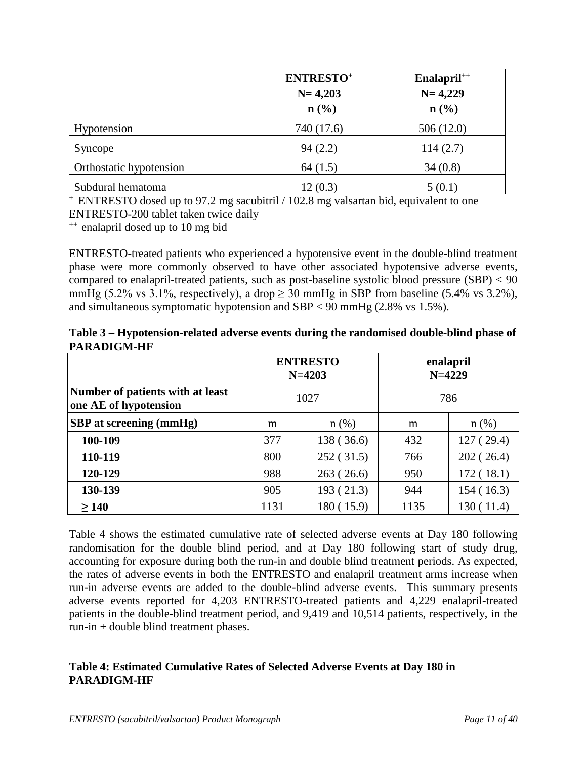|                         | <b>ENTRESTO+</b><br>$N = 4,203$<br>$n\left(\frac{0}{0}\right)$ | Enalapril <sup>++</sup><br>$N = 4,229$<br>$n\left(\frac{0}{0}\right)$ |
|-------------------------|----------------------------------------------------------------|-----------------------------------------------------------------------|
| Hypotension             | 740 (17.6)                                                     | 506(12.0)                                                             |
| Syncope                 | 94(2.2)                                                        | 114(2.7)                                                              |
| Orthostatic hypotension | 64(1.5)                                                        | 34(0.8)                                                               |
| Subdural hematoma       | 12(0.3)                                                        | 5(0.1)                                                                |

**<sup>+</sup>**ENTRESTO dosed up to 97.2 mg sacubitril / 102.8 mg valsartan bid, equivalent to one ENTRESTO-200 tablet taken twice daily

**++** enalapril dosed up to 10 mg bid

ENTRESTO-treated patients who experienced a hypotensive event in the double-blind treatment phase were more commonly observed to have other associated hypotensive adverse events, compared to enalapril-treated patients, such as post-baseline systolic blood pressure  $(SBP) < 90$ mmHg (5.2% vs 3.1%, respectively), a drop  $\geq$  30 mmHg in SBP from baseline (5.4% vs 3.2%), and simultaneous symptomatic hypotension and SBP < 90 mmHg (2.8% vs 1.5%).

| Table 3 – Hypotension-related adverse events during the randomised double-blind phase of |  |
|------------------------------------------------------------------------------------------|--|
| <b>PARADIGM-HF</b>                                                                       |  |

|                                                           | <b>ENTRESTO</b><br>$N = 4203$ |            | enalapril<br>$N = 4229$ |            |
|-----------------------------------------------------------|-------------------------------|------------|-------------------------|------------|
| Number of patients with at least<br>one AE of hypotension | 1027                          |            | 786                     |            |
| SBP at screening (mmHg)                                   | $n$ (%)<br>m                  |            | m                       | $n$ (%)    |
| 100-109                                                   | 377                           | 138 (36.6) | 432                     | 127 (29.4) |
| 110-119                                                   | 800                           | 252(31.5)  | 766                     | 202(26.4)  |
| 120-129                                                   | 988                           | 263(26.6)  | 950                     | 172(18.1)  |
| 130-139                                                   | 905                           | 193 (21.3) | 944                     | 154 (16.3) |
| $\geq 140$                                                | 1131                          | 180 (15.9) | 1135                    | 130 (11.4) |

Table 4 shows the estimated cumulative rate of selected adverse events at Day 180 following randomisation for the double blind period, and at Day 180 following start of study drug, accounting for exposure during both the run-in and double blind treatment periods. As expected, the rates of adverse events in both the ENTRESTO and enalapril treatment arms increase when run-in adverse events are added to the double-blind adverse events. This summary presents adverse events reported for 4,203 ENTRESTO-treated patients and 4,229 enalapril-treated patients in the double-blind treatment period, and 9,419 and 10,514 patients, respectively, in the run-in + double blind treatment phases.

# **Table 4: Estimated Cumulative Rates of Selected Adverse Events at Day 180 in PARADIGM-HF**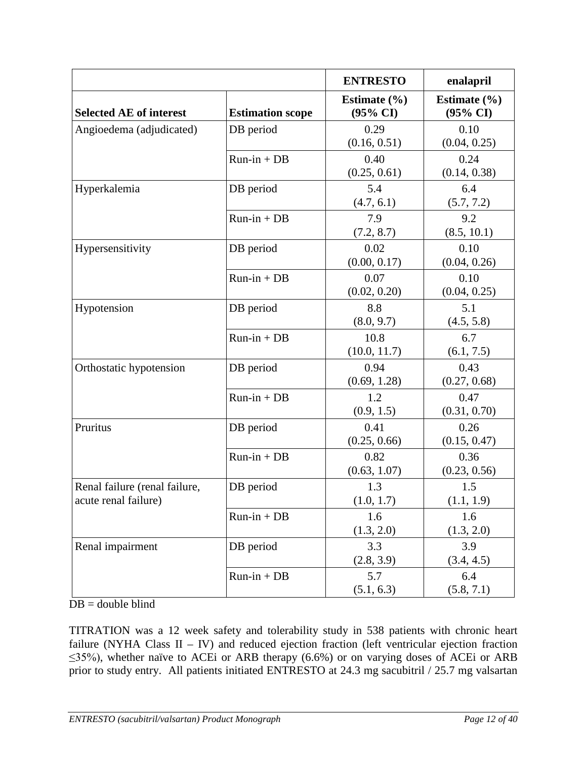|                                                       |                         | <b>ENTRESTO</b>              | enalapril                               |
|-------------------------------------------------------|-------------------------|------------------------------|-----------------------------------------|
| <b>Selected AE of interest</b>                        | <b>Estimation scope</b> | Estimate $(\% )$<br>(95% CI) | Estimate $(\% )$<br>$(95\% \text{ CI})$ |
| Angioedema (adjudicated)                              | DB period               | 0.29<br>(0.16, 0.51)         | 0.10<br>(0.04, 0.25)                    |
|                                                       | $Run-in + DB$           | 0.40<br>(0.25, 0.61)         | 0.24<br>(0.14, 0.38)                    |
| Hyperkalemia                                          | DB period               | 5.4<br>(4.7, 6.1)            | 6.4<br>(5.7, 7.2)                       |
|                                                       | $Run-in + DB$           | 7.9<br>(7.2, 8.7)            | 9.2<br>(8.5, 10.1)                      |
| Hypersensitivity                                      | DB period               | 0.02<br>(0.00, 0.17)         | 0.10<br>(0.04, 0.26)                    |
|                                                       | $Run-in + DB$           | 0.07<br>(0.02, 0.20)         | 0.10<br>(0.04, 0.25)                    |
| Hypotension                                           | DB period               | 8.8<br>(8.0, 9.7)            | 5.1<br>(4.5, 5.8)                       |
|                                                       | $Run-in + DB$           | 10.8<br>(10.0, 11.7)         | 6.7<br>(6.1, 7.5)                       |
| Orthostatic hypotension                               | DB period               | 0.94<br>(0.69, 1.28)         | 0.43<br>(0.27, 0.68)                    |
|                                                       | $Run-in + DB$           | 1.2<br>(0.9, 1.5)            | 0.47<br>(0.31, 0.70)                    |
| Pruritus                                              | DB period               | 0.41<br>(0.25, 0.66)         | 0.26<br>(0.15, 0.47)                    |
|                                                       | $Run-in + DB$           | 0.82<br>(0.63, 1.07)         | 0.36<br>(0.23, 0.56)                    |
| Renal failure (renal failure,<br>acute renal failure) | DB period               | 1.3<br>(1.0, 1.7)            | 1.5<br>(1.1, 1.9)                       |
|                                                       | $Run-in + DB$           | 1.6<br>(1.3, 2.0)            | 1.6<br>(1.3, 2.0)                       |
| Renal impairment                                      | DB period               | 3.3<br>(2.8, 3.9)            | 3.9<br>(3.4, 4.5)                       |
|                                                       | $Run-in + DB$           | 5.7<br>(5.1, 6.3)            | 6.4<br>(5.8, 7.1)                       |

 $DB =$  double blind

TITRATION was a 12 week safety and tolerability study in 538 patients with chronic heart failure (NYHA Class  $II - IV$ ) and reduced ejection fraction (left ventricular ejection fraction ≤35%), whether naïve to ACEi or ARB therapy (6.6%) or on varying doses of ACEi or ARB prior to study entry. All patients initiated ENTRESTO at 24.3 mg sacubitril / 25.7 mg valsartan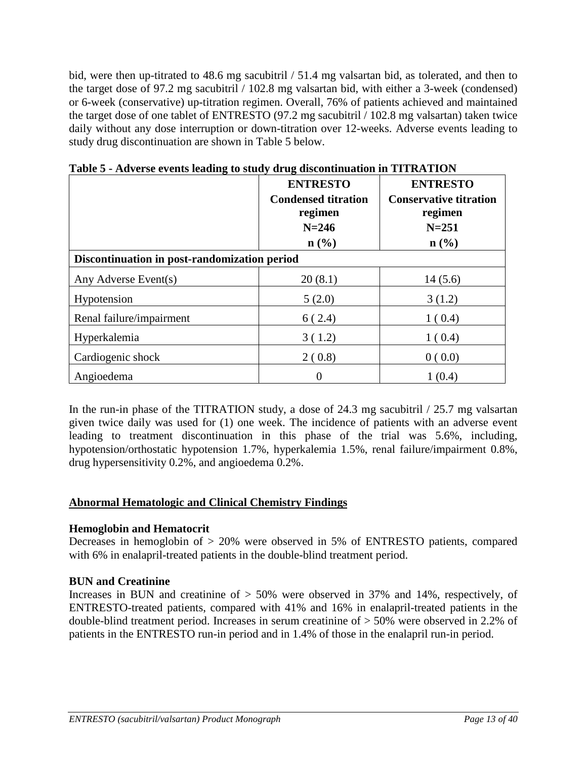bid, were then up-titrated to 48.6 mg sacubitril / 51.4 mg valsartan bid, as tolerated, and then to the target dose of 97.2 mg sacubitril / 102.8 mg valsartan bid, with either a 3-week (condensed) or 6-week (conservative) up-titration regimen. Overall, 76% of patients achieved and maintained the target dose of one tablet of ENTRESTO (97.2 mg sacubitril / 102.8 mg valsartan) taken twice daily without any dose interruption or down-titration over 12-weeks. Adverse events leading to study drug discontinuation are shown in Table 5 below.

|                                              | <b>ENTRESTO</b><br><b>Condensed titration</b><br>regimen<br>$N = 246$<br>$n\left(\frac{0}{0}\right)$ | <b>ENTRESTO</b><br><b>Conservative titration</b><br>regimen<br>$N = 251$<br>$n\left(\frac{0}{0}\right)$ |
|----------------------------------------------|------------------------------------------------------------------------------------------------------|---------------------------------------------------------------------------------------------------------|
| Discontinuation in post-randomization period |                                                                                                      |                                                                                                         |
| Any Adverse Event(s)                         | 20(8.1)                                                                                              | 14(5.6)                                                                                                 |
| Hypotension                                  | 5(2.0)                                                                                               | 3(1.2)                                                                                                  |
| Renal failure/impairment                     | 6(2.4)                                                                                               | 1(0.4)                                                                                                  |
| Hyperkalemia                                 | 3(1.2)                                                                                               | 1(0.4)                                                                                                  |
| Cardiogenic shock                            | 2(0.8)                                                                                               | 0(0.0)                                                                                                  |
| Angioedema                                   | $\theta$                                                                                             | 1(0.4)                                                                                                  |

**Table 5 - Adverse events leading to study drug discontinuation in TITRATION**

In the run-in phase of the TITRATION study, a dose of 24.3 mg sacubitril / 25.7 mg valsartan given twice daily was used for (1) one week. The incidence of patients with an adverse event leading to treatment discontinuation in this phase of the trial was 5.6%, including, hypotension/orthostatic hypotension 1.7%, hyperkalemia 1.5%, renal failure/impairment 0.8%, drug hypersensitivity 0.2%, and angioedema 0.2%.

# **Abnormal Hematologic and Clinical Chemistry Findings**

# **Hemoglobin and Hematocrit**

Decreases in hemoglobin of > 20% were observed in 5% of ENTRESTO patients, compared with 6% in enalapril-treated patients in the double-blind treatment period.

# **BUN and Creatinine**

Increases in BUN and creatinine of > 50% were observed in 37% and 14%, respectively, of ENTRESTO-treated patients, compared with 41% and 16% in enalapril-treated patients in the double-blind treatment period. Increases in serum creatinine of > 50% were observed in 2.2% of patients in the ENTRESTO run-in period and in 1.4% of those in the enalapril run-in period.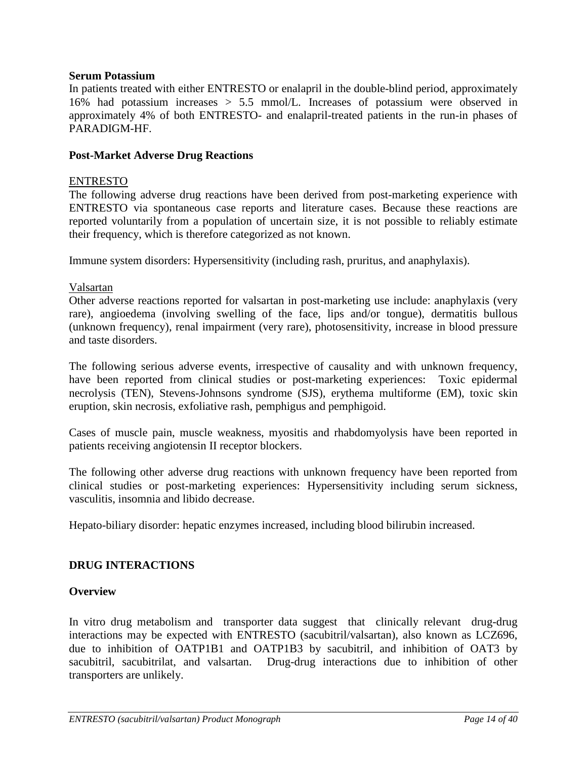#### **Serum Potassium**

In patients treated with either ENTRESTO or enalapril in the double-blind period, approximately 16% had potassium increases > 5.5 mmol/L. Increases of potassium were observed in approximately 4% of both ENTRESTO- and enalapril-treated patients in the run-in phases of PARADIGM-HF.

#### **Post-Market Adverse Drug Reactions**

#### ENTRESTO

The following adverse drug reactions have been derived from post-marketing experience with ENTRESTO via spontaneous case reports and literature cases. Because these reactions are reported voluntarily from a population of uncertain size, it is not possible to reliably estimate their frequency, which is therefore categorized as not known.

Immune system disorders: Hypersensitivity (including rash, pruritus, and anaphylaxis).

#### Valsartan

Other adverse reactions reported for valsartan in post-marketing use include: anaphylaxis (very rare), angioedema (involving swelling of the face, lips and/or tongue), dermatitis bullous (unknown frequency), renal impairment (very rare), photosensitivity, increase in blood pressure and taste disorders.

The following serious adverse events, irrespective of causality and with unknown frequency, have been reported from clinical studies or post-marketing experiences: Toxic epidermal necrolysis (TEN), Stevens-Johnsons syndrome (SJS), erythema multiforme (EM), toxic skin eruption, skin necrosis, exfoliative rash, pemphigus and pemphigoid.

Cases of muscle pain, muscle weakness, myositis and rhabdomyolysis have been reported in patients receiving angiotensin II receptor blockers.

The following other adverse drug reactions with unknown frequency have been reported from clinical studies or post-marketing experiences: Hypersensitivity including serum sickness, vasculitis, insomnia and libido decrease.

Hepato-biliary disorder: hepatic enzymes increased, including blood bilirubin increased.

#### <span id="page-13-0"></span>**DRUG INTERACTIONS**

#### **Overview**

In vitro drug metabolism and transporter data suggest that clinically relevant drug-drug interactions may be expected with ENTRESTO (sacubitril/valsartan), also known as LCZ696, due to inhibition of OATP1B1 and OATP1B3 by sacubitril, and inhibition of OAT3 by sacubitril, sacubitrilat, and valsartan. Drug-drug interactions due to inhibition of other transporters are unlikely.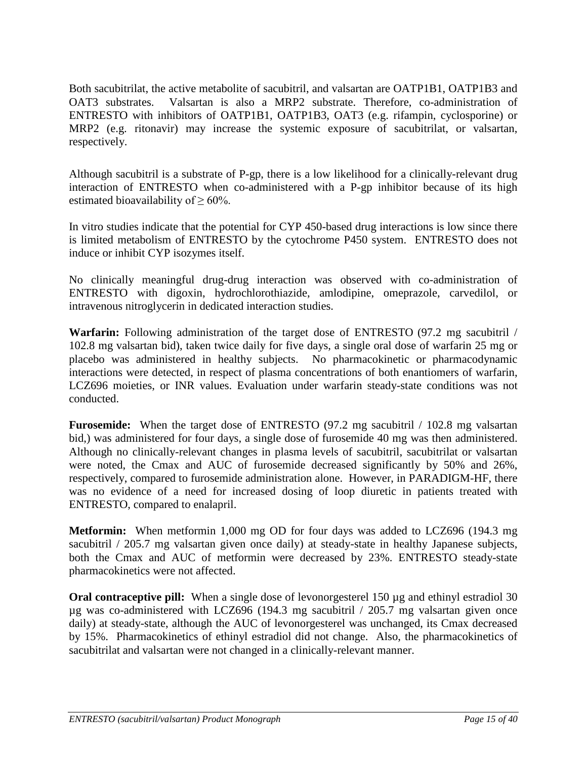Both sacubitrilat, the active metabolite of sacubitril, and valsartan are OATP1B1, OATP1B3 and OAT3 substrates. Valsartan is also a MRP2 substrate. Therefore, co-administration of ENTRESTO with inhibitors of OATP1B1, OATP1B3, OAT3 (e.g. rifampin, cyclosporine) or MRP2 (e.g. ritonavir) may increase the systemic exposure of sacubitrilat, or valsartan, respectively.

Although sacubitril is a substrate of P-gp, there is a low likelihood for a clinically-relevant drug interaction of ENTRESTO when co-administered with a P-gp inhibitor because of its high estimated bioavailability of  $\geq 60\%$ .

In vitro studies indicate that the potential for CYP 450-based drug interactions is low since there is limited metabolism of ENTRESTO by the cytochrome P450 system. ENTRESTO does not induce or inhibit CYP isozymes itself.

No clinically meaningful drug-drug interaction was observed with co-administration of ENTRESTO with digoxin, hydrochlorothiazide, amlodipine, omeprazole, carvedilol, or intravenous nitroglycerin in dedicated interaction studies.

**Warfarin:** Following administration of the target dose of ENTRESTO (97.2 mg sacubitril / 102.8 mg valsartan bid), taken twice daily for five days, a single oral dose of warfarin 25 mg or placebo was administered in healthy subjects. No pharmacokinetic or pharmacodynamic interactions were detected, in respect of plasma concentrations of both enantiomers of warfarin, LCZ696 moieties, or INR values. Evaluation under warfarin steady-state conditions was not conducted.

**Furosemide:** When the target dose of ENTRESTO (97.2 mg sacubitril / 102.8 mg valsartan bid,) was administered for four days, a single dose of furosemide 40 mg was then administered. Although no clinically-relevant changes in plasma levels of sacubitril, sacubitrilat or valsartan were noted, the Cmax and AUC of furosemide decreased significantly by 50% and 26%, respectively, compared to furosemide administration alone. However, in PARADIGM-HF, there was no evidence of a need for increased dosing of loop diuretic in patients treated with ENTRESTO, compared to enalapril.

**Metformin:** When metformin 1,000 mg OD for four days was added to LCZ696 (194.3 mg sacubitril / 205.7 mg valsartan given once daily) at steady-state in healthy Japanese subjects, both the Cmax and AUC of metformin were decreased by 23%. ENTRESTO steady-state pharmacokinetics were not affected.

**Oral contraceptive pill:** When a single dose of levonorgesterel 150 µg and ethinyl estradiol 30 µg was co-administered with LCZ696 (194.3 mg sacubitril / 205.7 mg valsartan given once daily) at steady-state, although the AUC of levonorgesterel was unchanged, its Cmax decreased by 15%. Pharmacokinetics of ethinyl estradiol did not change. Also, the pharmacokinetics of sacubitrilat and valsartan were not changed in a clinically-relevant manner.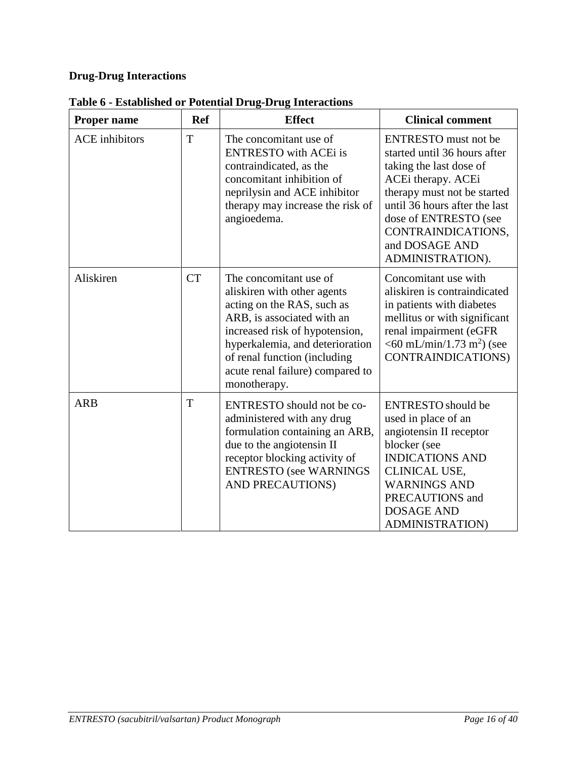# **Drug-Drug Interactions**

| <b>Proper name</b>    | <b>Ref</b> | <b>Effect</b>                                                                                                                                                                                                                                                              | <b>Clinical comment</b>                                                                                                                                                                                                                                           |
|-----------------------|------------|----------------------------------------------------------------------------------------------------------------------------------------------------------------------------------------------------------------------------------------------------------------------------|-------------------------------------------------------------------------------------------------------------------------------------------------------------------------------------------------------------------------------------------------------------------|
| <b>ACE</b> inhibitors | T          | The concomitant use of<br><b>ENTRESTO</b> with ACEi is<br>contraindicated, as the<br>concomitant inhibition of<br>neprilysin and ACE inhibitor<br>therapy may increase the risk of<br>angioedema.                                                                          | <b>ENTRESTO</b> must not be<br>started until 36 hours after<br>taking the last dose of<br>ACEi therapy. ACEi<br>therapy must not be started<br>until 36 hours after the last<br>dose of ENTRESTO (see<br>CONTRAINDICATIONS,<br>and DOSAGE AND<br>ADMINISTRATION). |
| Aliskiren             | <b>CT</b>  | The concomitant use of<br>aliskiren with other agents<br>acting on the RAS, such as<br>ARB, is associated with an<br>increased risk of hypotension,<br>hyperkalemia, and deterioration<br>of renal function (including<br>acute renal failure) compared to<br>monotherapy. | Concomitant use with<br>aliskiren is contraindicated<br>in patients with diabetes<br>mellitus or with significant<br>renal impairment (eGFR<br>$<$ 60 mL/min/1.73 m <sup>2</sup> ) (see<br><b>CONTRAINDICATIONS)</b>                                              |
| <b>ARB</b>            | T          | ENTRESTO should not be co-<br>administered with any drug<br>formulation containing an ARB,<br>due to the angiotensin II<br>receptor blocking activity of<br><b>ENTRESTO</b> (see WARNINGS<br>AND PRECAUTIONS)                                                              | <b>ENTRESTO</b> should be<br>used in place of an<br>angiotensin II receptor<br>blocker (see<br><b>INDICATIONS AND</b><br>CLINICAL USE,<br><b>WARNINGS AND</b><br>PRECAUTIONS and<br><b>DOSAGE AND</b><br><b>ADMINISTRATION)</b>                                   |

**Table 6 - Established or Potential Drug-Drug Interactions**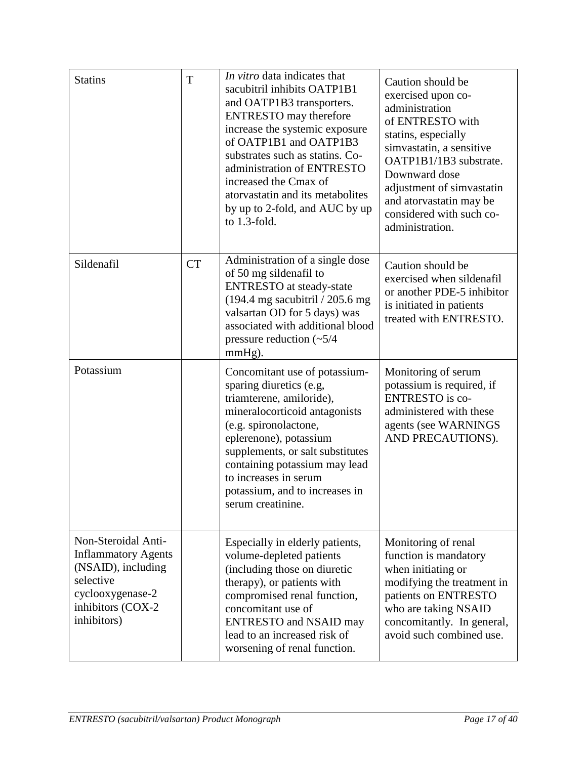| <b>Statins</b>                                                                                                                               | T         | In vitro data indicates that<br>sacubitril inhibits OATP1B1<br>and OATP1B3 transporters.<br><b>ENTRESTO</b> may therefore<br>increase the systemic exposure<br>of OATP1B1 and OATP1B3<br>substrates such as statins. Co-<br>administration of ENTRESTO<br>increased the Cmax of<br>atorvastatin and its metabolites<br>by up to 2-fold, and AUC by up<br>to $1.3$ -fold. | Caution should be<br>exercised upon co-<br>administration<br>of ENTRESTO with<br>statins, especially<br>simvastatin, a sensitive<br>OATP1B1/1B3 substrate.<br>Downward dose<br>adjustment of simvastatin<br>and atorvastatin may be<br>considered with such co-<br>administration. |
|----------------------------------------------------------------------------------------------------------------------------------------------|-----------|--------------------------------------------------------------------------------------------------------------------------------------------------------------------------------------------------------------------------------------------------------------------------------------------------------------------------------------------------------------------------|------------------------------------------------------------------------------------------------------------------------------------------------------------------------------------------------------------------------------------------------------------------------------------|
| Sildenafil                                                                                                                                   | <b>CT</b> | Administration of a single dose<br>of 50 mg sildenafil to<br><b>ENTRESTO</b> at steady-state<br>$(194.4 \text{ mg}$ sacubitril $/ 205.6 \text{ mg}$<br>valsartan OD for 5 days) was<br>associated with additional blood<br>pressure reduction $(\sim 5/4)$<br>mmHg).                                                                                                     | Caution should be<br>exercised when sildenafil<br>or another PDE-5 inhibitor<br>is initiated in patients<br>treated with ENTRESTO.                                                                                                                                                 |
| Potassium                                                                                                                                    |           | Concomitant use of potassium-<br>sparing diuretics (e.g,<br>triamterene, amiloride),<br>mineralocorticoid antagonists<br>(e.g. spironolactone,<br>eplerenone), potassium<br>supplements, or salt substitutes<br>containing potassium may lead<br>to increases in serum<br>potassium, and to increases in<br>serum creatinine.                                            | Monitoring of serum<br>potassium is required, if<br><b>ENTRESTO</b> is co-<br>administered with these<br>agents (see WARNINGS<br>AND PRECAUTIONS).                                                                                                                                 |
| Non-Steroidal Anti-<br><b>Inflammatory Agents</b><br>(NSAID), including<br>selective<br>cyclooxygenase-2<br>inhibitors (COX-2<br>inhibitors) |           | Especially in elderly patients,<br>volume-depleted patients<br>(including those on diuretic<br>therapy), or patients with<br>compromised renal function,<br>concomitant use of<br><b>ENTRESTO</b> and NSAID may<br>lead to an increased risk of<br>worsening of renal function.                                                                                          | Monitoring of renal<br>function is mandatory<br>when initiating or<br>modifying the treatment in<br>patients on ENTRESTO<br>who are taking NSAID<br>concomitantly. In general,<br>avoid such combined use.                                                                         |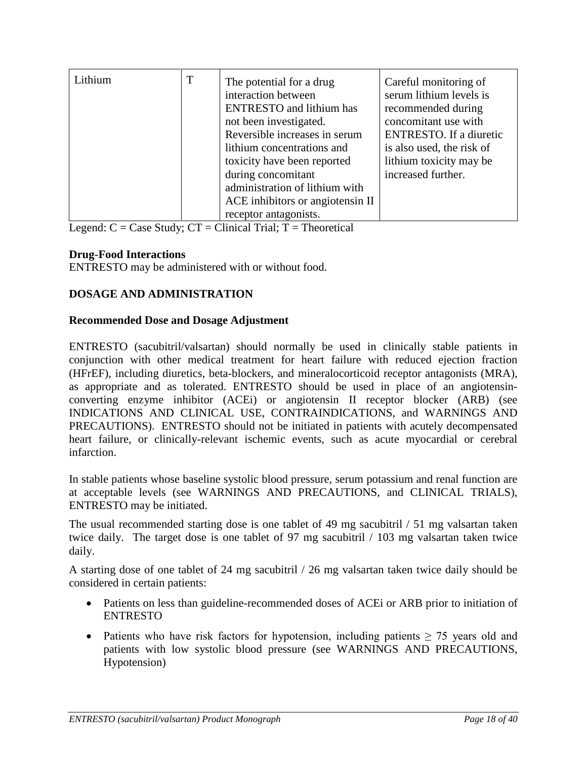| Lithium | T | The potential for a drug<br>interaction between<br><b>ENTRESTO</b> and lithium has<br>not been investigated.<br>Reversible increases in serum<br>lithium concentrations and<br>toxicity have been reported<br>during concomitant<br>administration of lithium with | Careful monitoring of<br>serum lithium levels is<br>recommended during<br>concomitant use with<br><b>ENTRESTO.</b> If a diuretic<br>is also used, the risk of<br>lithium toxicity may be<br>increased further. |
|---------|---|--------------------------------------------------------------------------------------------------------------------------------------------------------------------------------------------------------------------------------------------------------------------|----------------------------------------------------------------------------------------------------------------------------------------------------------------------------------------------------------------|
|         |   | ACE inhibitors or angiotensin II                                                                                                                                                                                                                                   |                                                                                                                                                                                                                |
|         |   | receptor antagonists.                                                                                                                                                                                                                                              |                                                                                                                                                                                                                |

Legend:  $C = Case Study$ ;  $CT = Clinical Trial$ ;  $T = Theoretical$ 

# **Drug-Food Interactions**

ENTRESTO may be administered with or without food.

# <span id="page-17-0"></span>**DOSAGE AND ADMINISTRATION**

#### **Recommended Dose and Dosage Adjustment**

ENTRESTO (sacubitril/valsartan) should normally be used in clinically stable patients in conjunction with other medical treatment for heart failure with reduced ejection fraction (HFrEF), including diuretics, beta-blockers, and mineralocorticoid receptor antagonists (MRA), as appropriate and as tolerated. ENTRESTO should be used in place of an angiotensinconverting enzyme inhibitor (ACEi) or angiotensin II receptor blocker (ARB) (see INDICATIONS AND CLINICAL USE, CONTRAINDICATIONS, and WARNINGS AND PRECAUTIONS). ENTRESTO should not be initiated in patients with acutely decompensated heart failure, or clinically-relevant ischemic events, such as acute myocardial or cerebral infarction.

In stable patients whose baseline systolic blood pressure, serum potassium and renal function are at acceptable levels (see WARNINGS AND PRECAUTIONS, and CLINICAL TRIALS), ENTRESTO may be initiated.

The usual recommended starting dose is one tablet of 49 mg sacubitril / 51 mg valsartan taken twice daily. The target dose is one tablet of 97 mg sacubitril / 103 mg valsartan taken twice daily.

A starting dose of one tablet of 24 mg sacubitril / 26 mg valsartan taken twice daily should be considered in certain patients:

- Patients on less than guideline-recommended doses of ACEi or ARB prior to initiation of ENTRESTO
- Patients who have risk factors for hypotension, including patients  $\geq$  75 years old and patients with low systolic blood pressure (see WARNINGS AND PRECAUTIONS, Hypotension)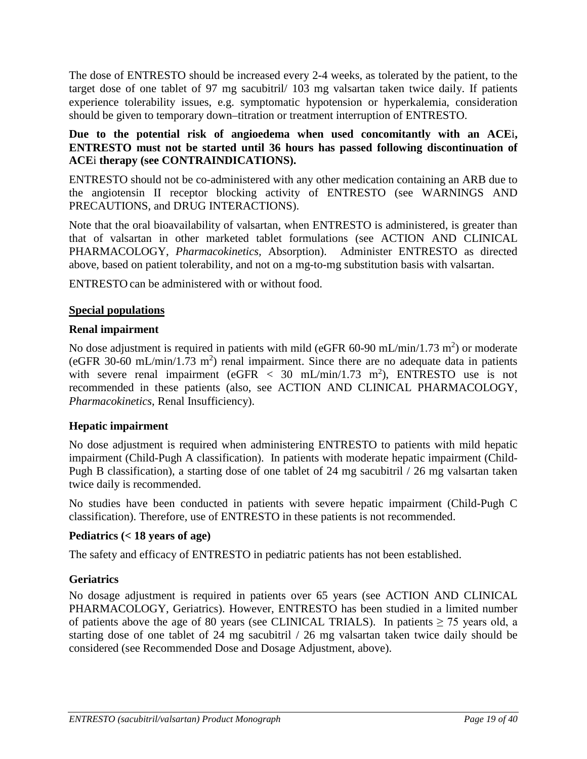The dose of ENTRESTO should be increased every 2-4 weeks, as tolerated by the patient, to the target dose of one tablet of 97 mg sacubitril/ 103 mg valsartan taken twice daily. If patients experience tolerability issues, e.g. symptomatic hypotension or hyperkalemia, consideration should be given to temporary down–titration or treatment interruption of ENTRESTO.

# **Due to the potential risk of angioedema when used concomitantly with an ACE**i**, ENTRESTO must not be started until 36 hours has passed following discontinuation of ACE**i **therapy (see CONTRAINDICATIONS).**

ENTRESTO should not be co-administered with any other medication containing an ARB due to the angiotensin II receptor blocking activity of ENTRESTO (see WARNINGS AND PRECAUTIONS, and DRUG INTERACTIONS).

Note that the oral bioavailability of valsartan, when ENTRESTO is administered, is greater than that of valsartan in other marketed tablet formulations (see ACTION AND CLINICAL PHARMACOLOGY, *Pharmacokinetics,* Absorption). Administer ENTRESTO as directed above, based on patient tolerability, and not on a mg-to-mg substitution basis with valsartan.

ENTRESTO can be administered with or without food.

# **Special populations**

### **Renal impairment**

No dose adjustment is required in patients with mild (eGFR 60-90 mL/min/1.73 m<sup>2</sup>) or moderate (eGFR 30-60 mL/min/1.73 m<sup>2</sup>) renal impairment. Since there are no adequate data in patients with severe renal impairment (eGFR  $<$  30 mL/min/1.73 m<sup>2</sup>), ENTRESTO use is not recommended in these patients (also, see ACTION AND CLINICAL PHARMACOLOGY, *Pharmacokinetics*, Renal Insufficiency).

# **Hepatic impairment**

No dose adjustment is required when administering ENTRESTO to patients with mild hepatic impairment (Child-Pugh A classification). In patients with moderate hepatic impairment (Child-Pugh B classification), a starting dose of one tablet of 24 mg sacubitril / 26 mg valsartan taken twice daily is recommended.

No studies have been conducted in patients with severe hepatic impairment (Child-Pugh C classification). Therefore, use of ENTRESTO in these patients is not recommended.

# **Pediatrics (< 18 years of age)**

The safety and efficacy of ENTRESTO in pediatric patients has not been established.

# **Geriatrics**

No dosage adjustment is required in patients over 65 years (see ACTION AND CLINICAL PHARMACOLOGY, Geriatrics). However, ENTRESTO has been studied in a limited number of patients above the age of 80 years (see CLINICAL TRIALS). In patients  $\geq$  75 years old, a starting dose of one tablet of 24 mg sacubitril / 26 mg valsartan taken twice daily should be considered (see Recommended Dose and Dosage Adjustment, above).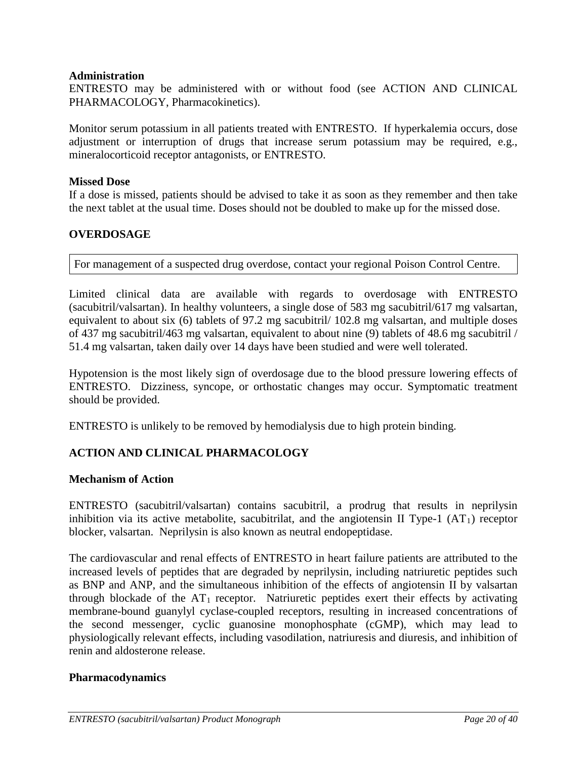#### **Administration**

ENTRESTO may be administered with or without food (see ACTION AND CLINICAL PHARMACOLOGY, Pharmacokinetics).

Monitor serum potassium in all patients treated with ENTRESTO. If hyperkalemia occurs, dose adjustment or interruption of drugs that increase serum potassium may be required, e.g., mineralocorticoid receptor antagonists, or ENTRESTO.

#### **Missed Dose**

If a dose is missed, patients should be advised to take it as soon as they remember and then take the next tablet at the usual time. Doses should not be doubled to make up for the missed dose.

### <span id="page-19-0"></span>**OVERDOSAGE**

For management of a suspected drug overdose, contact your regional Poison Control Centre.

Limited clinical data are available with regards to overdosage with ENTRESTO (sacubitril/valsartan). In healthy volunteers, a single dose of 583 mg sacubitril/617 mg valsartan, equivalent to about six (6) tablets of 97.2 mg sacubitril/ 102.8 mg valsartan, and multiple doses of 437 mg sacubitril/463 mg valsartan, equivalent to about nine (9) tablets of 48.6 mg sacubitril / 51.4 mg valsartan, taken daily over 14 days have been studied and were well tolerated.

Hypotension is the most likely sign of overdosage due to the blood pressure lowering effects of ENTRESTO. Dizziness, syncope, or orthostatic changes may occur. Symptomatic treatment should be provided.

ENTRESTO is unlikely to be removed by hemodialysis due to high protein binding.

# <span id="page-19-1"></span>**ACTION AND CLINICAL PHARMACOLOGY**

#### **Mechanism of Action**

ENTRESTO (sacubitril/valsartan) contains sacubitril, a prodrug that results in neprilysin inhibition via its active metabolite, sacubitrilat, and the angiotensin II Type-1  $(AT<sub>1</sub>)$  receptor blocker, valsartan. Neprilysin is also known as neutral endopeptidase.

The cardiovascular and renal effects of ENTRESTO in heart failure patients are attributed to the increased levels of peptides that are degraded by neprilysin, including natriuretic peptides such as BNP and ANP, and the simultaneous inhibition of the effects of angiotensin II by valsartan through blockade of the  $AT_1$  receptor. Natriuretic peptides exert their effects by activating membrane-bound guanylyl cyclase-coupled receptors, resulting in increased concentrations of the second messenger, cyclic guanosine monophosphate (cGMP), which may lead to physiologically relevant effects, including vasodilation, natriuresis and diuresis, and inhibition of renin and aldosterone release.

#### **Pharmacodynamics**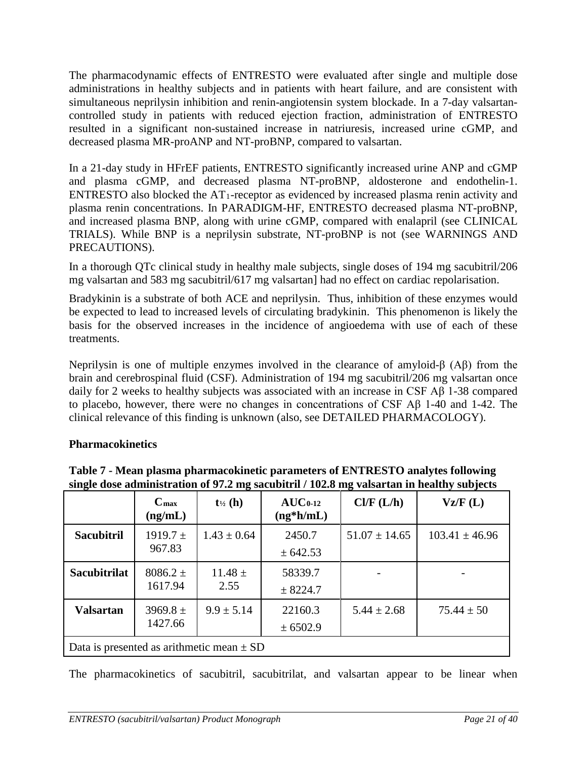The pharmacodynamic effects of ENTRESTO were evaluated after single and multiple dose administrations in healthy subjects and in patients with heart failure, and are consistent with simultaneous neprilysin inhibition and renin-angiotensin system blockade. In a 7-day valsartancontrolled study in patients with reduced ejection fraction, administration of ENTRESTO resulted in a significant non-sustained increase in natriuresis, increased urine cGMP, and decreased plasma MR-proANP and NT-proBNP, compared to valsartan.

In a 21-day study in HFrEF patients, ENTRESTO significantly increased urine ANP and cGMP and plasma cGMP, and decreased plasma NT-proBNP, aldosterone and endothelin-1. ENTRESTO also blocked the  $AT_1$ -receptor as evidenced by increased plasma renin activity and plasma renin concentrations. In PARADIGM-HF, ENTRESTO decreased plasma NT-proBNP, and increased plasma BNP, along with urine cGMP, compared with enalapril (see CLINICAL TRIALS). While BNP is a neprilysin substrate, NT-proBNP is not (see WARNINGS AND PRECAUTIONS).

In a thorough QTc clinical study in healthy male subjects, single doses of 194 mg sacubitril/206 mg valsartan and 583 mg sacubitril/617 mg valsartan] had no effect on cardiac repolarisation.

Bradykinin is a substrate of both ACE and neprilysin. Thus, inhibition of these enzymes would be expected to lead to increased levels of circulating bradykinin. This phenomenon is likely the basis for the observed increases in the incidence of angioedema with use of each of these treatments.

Neprilysin is one of multiple enzymes involved in the clearance of amyloid-β (Aβ) from the brain and cerebrospinal fluid (CSF). Administration of 194 mg sacubitril/206 mg valsartan once daily for 2 weeks to healthy subjects was associated with an increase in CSF Aβ 1-38 compared to placebo, however, there were no changes in concentrations of CSF Aβ 1-40 and 1-42. The clinical relevance of this finding is unknown (also, see DETAILED PHARMACOLOGY).

# **Pharmacokinetics**

|                                               | $C_{\text{max}}$<br>(ng/mL) | $t_{\frac{1}{2}}(h)$ | $AUC_{0-12}$<br>$(ng*h/mL)$ | Cl/F (L/h)        | Vz/F(L)            |  |
|-----------------------------------------------|-----------------------------|----------------------|-----------------------------|-------------------|--------------------|--|
| <b>Sacubitril</b>                             | $1919.7 \pm$                | $1.43 \pm 0.64$      | 2450.7                      | $51.07 \pm 14.65$ | $103.41 \pm 46.96$ |  |
|                                               | 967.83                      |                      | ± 642.53                    |                   |                    |  |
| <b>Sacubitrilat</b>                           | $8086.2 \pm$                | $11.48 \pm$          | 58339.7                     |                   |                    |  |
|                                               | 1617.94                     | 2.55                 | ± 8224.7                    |                   |                    |  |
| <b>Valsartan</b>                              | $3969.8 \pm$                | $9.9 \pm 5.14$       | 22160.3                     | $5.44 \pm 2.68$   | $75.44 \pm 50$     |  |
|                                               | 1427.66                     |                      | ± 6502.9                    |                   |                    |  |
| Data is presented as arithmetic mean $\pm$ SD |                             |                      |                             |                   |                    |  |

**Table 7 - Mean plasma pharmacokinetic parameters of ENTRESTO analytes following single dose administration of 97.2 mg sacubitril / 102.8 mg valsartan in healthy subjects**

The pharmacokinetics of sacubitril, sacubitrilat, and valsartan appear to be linear when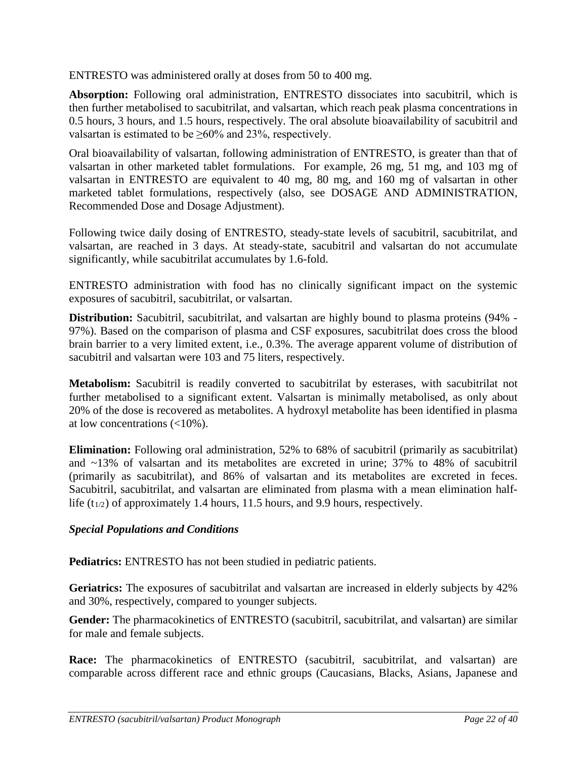ENTRESTO was administered orally at doses from 50 to 400 mg.

**Absorption:** Following oral administration, ENTRESTO dissociates into sacubitril, which is then further metabolised to sacubitrilat, and valsartan, which reach peak plasma concentrations in 0.5 hours, 3 hours, and 1.5 hours, respectively. The oral absolute bioavailability of sacubitril and valsartan is estimated to be  $\geq 60\%$  and 23%, respectively.

Oral bioavailability of valsartan, following administration of ENTRESTO, is greater than that of valsartan in other marketed tablet formulations. For example, 26 mg, 51 mg, and 103 mg of valsartan in ENTRESTO are equivalent to 40 mg, 80 mg, and 160 mg of valsartan in other marketed tablet formulations, respectively (also, see DOSAGE AND ADMINISTRATION, Recommended Dose and Dosage Adjustment).

Following twice daily dosing of ENTRESTO, steady-state levels of sacubitril, sacubitrilat, and valsartan, are reached in 3 days. At steady-state, sacubitril and valsartan do not accumulate significantly, while sacubitrilat accumulates by 1.6-fold.

ENTRESTO administration with food has no clinically significant impact on the systemic exposures of sacubitril, sacubitrilat, or valsartan.

**Distribution:** Sacubitril, sacubitrilat, and valsartan are highly bound to plasma proteins (94% -97%). Based on the comparison of plasma and CSF exposures, sacubitrilat does cross the blood brain barrier to a very limited extent, i.e., 0.3%. The average apparent volume of distribution of sacubitril and valsartan were 103 and 75 liters, respectively.

**Metabolism:** Sacubitril is readily converted to sacubitrilat by esterases, with sacubitrilat not further metabolised to a significant extent. Valsartan is minimally metabolised, as only about 20% of the dose is recovered as metabolites. A hydroxyl metabolite has been identified in plasma at low concentrations (<10%).

**Elimination:** Following oral administration, 52% to 68% of sacubitril (primarily as sacubitrilat) and ~13% of valsartan and its metabolites are excreted in urine; 37% to 48% of sacubitril (primarily as sacubitrilat), and 86% of valsartan and its metabolites are excreted in feces. Sacubitril, sacubitrilat, and valsartan are eliminated from plasma with a mean elimination halflife  $(t_{1/2})$  of approximately 1.4 hours, 11.5 hours, and 9.9 hours, respectively.

# *Special Populations and Conditions*

**Pediatrics:** ENTRESTO has not been studied in pediatric patients.

**Geriatrics:** The exposures of sacubitrilat and valsartan are increased in elderly subjects by 42% and 30%, respectively, compared to younger subjects.

Gender: The pharmacokinetics of ENTRESTO (sacubitril, sacubitrilat, and valsartan) are similar for male and female subjects.

**Race:** The pharmacokinetics of ENTRESTO (sacubitril, sacubitrilat, and valsartan) are comparable across different race and ethnic groups (Caucasians, Blacks, Asians, Japanese and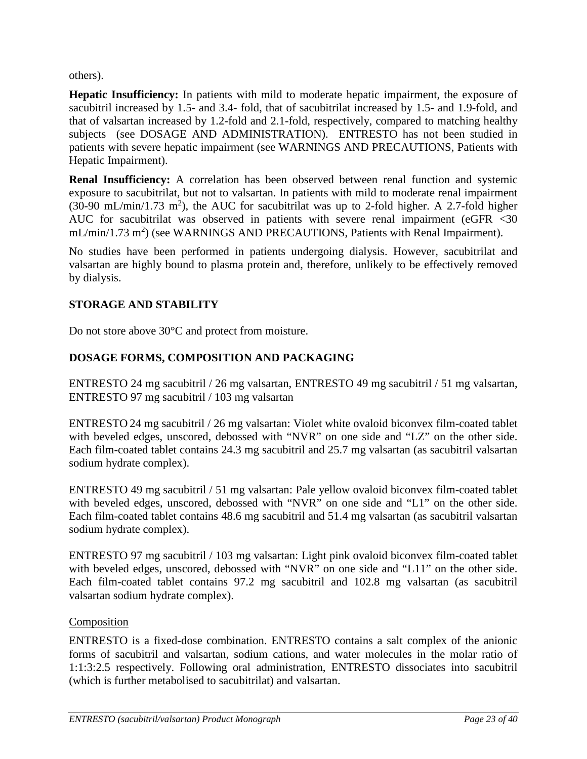<span id="page-22-0"></span>others).

**Hepatic Insufficiency:** In patients with mild to moderate hepatic impairment, the exposure of sacubitril increased by 1.5- and 3.4- fold, that of sacubitrilat increased by 1.5- and 1.9-fold, and that of valsartan increased by 1.2-fold and 2.1-fold, respectively, compared to matching healthy subjects (see DOSAGE AND ADMINISTRATION). ENTRESTO has not been studied in patients with severe hepatic impairment (see WARNINGS AND PRECAUTIONS, Patients with Hepatic Impairment).

**Renal Insufficiency:** A correlation has been observed between renal function and systemic exposure to sacubitrilat, but not to valsartan. In patients with mild to moderate renal impairment  $(30-90 \text{ mL/min}/1.73 \text{ m}^2)$ , the AUC for sacubitrilat was up to 2-fold higher. A 2.7-fold higher AUC for sacubitrilat was observed in patients with severe renal impairment (eGFR <30  $mL/min/1.73 m<sup>2</sup>$ ) (see WARNINGS AND PRECAUTIONS, Patients with Renal Impairment).

No studies have been performed in patients undergoing dialysis. However, sacubitrilat and valsartan are highly bound to plasma protein and, therefore, unlikely to be effectively removed by dialysis.

# **STORAGE AND STABILITY**

Do not store above 30°C and protect from moisture.

# **DOSAGE FORMS, COMPOSITION AND PACKAGING**

ENTRESTO 24 mg sacubitril / 26 mg valsartan, ENTRESTO 49 mg sacubitril / 51 mg valsartan, ENTRESTO 97 mg sacubitril / 103 mg valsartan

ENTRESTO 24 mg sacubitril / 26 mg valsartan: Violet white ovaloid biconvex film-coated tablet with beveled edges, unscored, debossed with "NVR" on one side and "LZ" on the other side. Each film-coated tablet contains 24.3 mg sacubitril and 25.7 mg valsartan (as sacubitril valsartan sodium hydrate complex).

ENTRESTO 49 mg sacubitril / 51 mg valsartan: Pale yellow ovaloid biconvex film-coated tablet with beveled edges, unscored, debossed with "NVR" on one side and "L1" on the other side. Each film-coated tablet contains 48.6 mg sacubitril and 51.4 mg valsartan (as sacubitril valsartan sodium hydrate complex).

ENTRESTO 97 mg sacubitril / 103 mg valsartan: Light pink ovaloid biconvex film-coated tablet with beveled edges, unscored, debossed with "NVR" on one side and "L11" on the other side. Each film-coated tablet contains 97.2 mg sacubitril and 102.8 mg valsartan (as sacubitril valsartan sodium hydrate complex).

# Composition

ENTRESTO is a fixed-dose combination. ENTRESTO contains a salt complex of the anionic forms of sacubitril and valsartan, sodium cations, and water molecules in the molar ratio of 1:1:3:2.5 respectively. Following oral administration, ENTRESTO dissociates into sacubitril (which is further metabolised to sacubitrilat) and valsartan.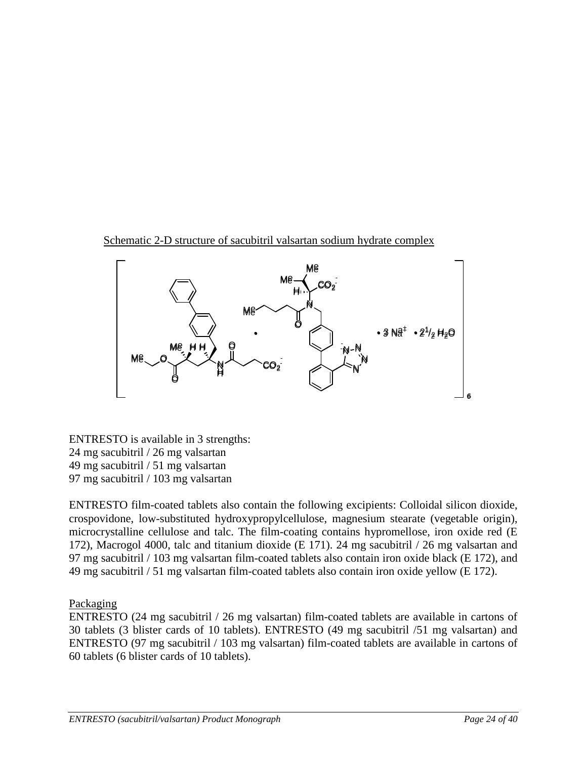Schematic 2-D structure of sacubitril valsartan sodium hydrate complex



ENTRESTO is available in 3 strengths: 24 mg sacubitril / 26 mg valsartan 49 mg sacubitril / 51 mg valsartan 97 mg sacubitril / 103 mg valsartan

ENTRESTO film-coated tablets also contain the following excipients: Colloidal silicon dioxide, crospovidone, low-substituted hydroxypropylcellulose, magnesium stearate (vegetable origin), microcrystalline cellulose and talc. The film-coating contains hypromellose, iron oxide red (E 172), Macrogol 4000, talc and titanium dioxide (E 171). 24 mg sacubitril / 26 mg valsartan and 97 mg sacubitril / 103 mg valsartan film-coated tablets also contain iron oxide black (E 172), and 49 mg sacubitril / 51 mg valsartan film-coated tablets also contain iron oxide yellow (E 172).

Packaging

ENTRESTO (24 mg sacubitril / 26 mg valsartan) film-coated tablets are available in cartons of 30 tablets (3 blister cards of 10 tablets). ENTRESTO (49 mg sacubitril /51 mg valsartan) and ENTRESTO (97 mg sacubitril / 103 mg valsartan) film-coated tablets are available in cartons of 60 tablets (6 blister cards of 10 tablets).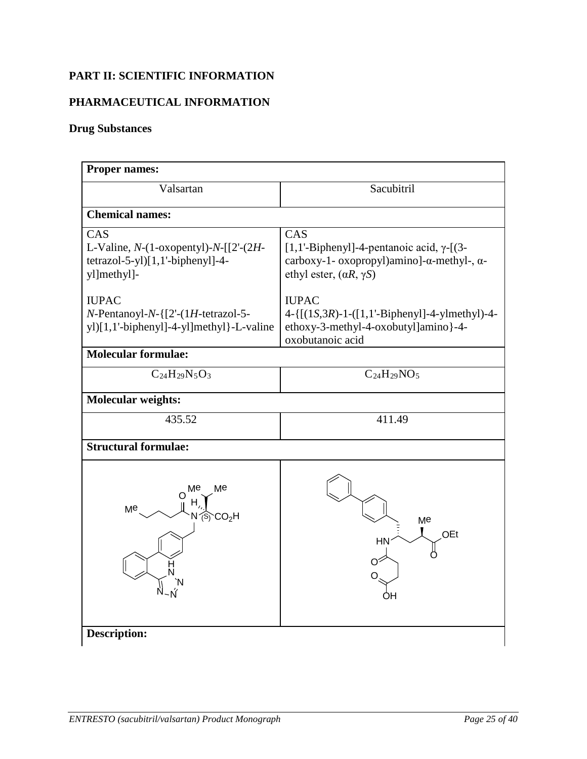# <span id="page-24-0"></span>**PART II: SCIENTIFIC INFORMATION**

# **PHARMACEUTICAL INFORMATION**

# **Drug Substances**

<span id="page-24-1"></span>

| <b>Proper names:</b>                                                                                        |                                                                                                                                                              |  |  |  |  |
|-------------------------------------------------------------------------------------------------------------|--------------------------------------------------------------------------------------------------------------------------------------------------------------|--|--|--|--|
| Valsartan                                                                                                   | Sacubitril                                                                                                                                                   |  |  |  |  |
| <b>Chemical names:</b>                                                                                      |                                                                                                                                                              |  |  |  |  |
| CAS<br>L-Valine, $N-(1$ -oxopentyl)- $N-[2-(2H-$<br>tetrazol-5-yl)[1,1'-biphenyl]-4-<br>yl]methyl]-         | CAS<br>[1,1'-Biphenyl]-4-pentanoic acid, $\gamma$ -[(3-<br>carboxy-1- oxopropyl)amino]- $\alpha$ -methyl-, $\alpha$ -<br>ethyl ester, $(\alpha R, \gamma S)$ |  |  |  |  |
| <b>IUPAC</b><br>$N$ -Pentanoyl-N- ${2-(1H\text{-tetrazol-5-})}$<br>yl)[1,1'-biphenyl]-4-yl]methyl}-L-valine | <b>IUPAC</b><br>$4 - \{ [(1S, 3R) - 1 - ([1, 1 - Bipheny]] - 4 - ylmethyl] - 4 -$<br>ethoxy-3-methyl-4-oxobutyl]amino}-4-<br>oxobutanoic acid                |  |  |  |  |
| <b>Molecular formulae:</b>                                                                                  |                                                                                                                                                              |  |  |  |  |
| $C_{24}H_{29}N_5O_3$                                                                                        | $C_{24}H_{29}NO_5$                                                                                                                                           |  |  |  |  |
| <b>Molecular weights:</b>                                                                                   |                                                                                                                                                              |  |  |  |  |
| 435.52                                                                                                      | 411.49                                                                                                                                                       |  |  |  |  |
| <b>Structural formulae:</b>                                                                                 |                                                                                                                                                              |  |  |  |  |
| Ме<br>Ме<br>Me<br>CO <sub>2</sub> H                                                                         | Me<br>OEt<br>ΗN                                                                                                                                              |  |  |  |  |
| <b>Description:</b>                                                                                         |                                                                                                                                                              |  |  |  |  |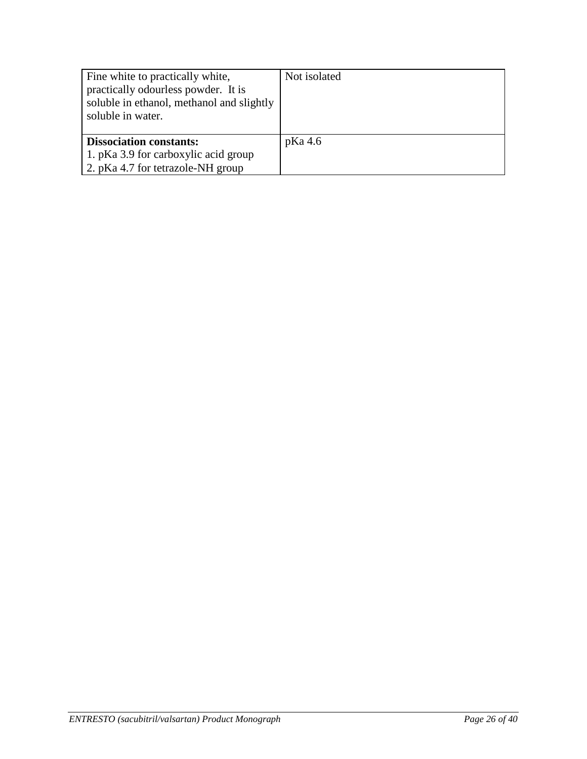| Fine white to practically white,<br>practically odourless powder. It is<br>soluble in ethanol, methanol and slightly<br>soluble in water. | Not isolated |
|-------------------------------------------------------------------------------------------------------------------------------------------|--------------|
| <b>Dissociation constants:</b><br>1. pKa 3.9 for carboxylic acid group<br>2. pKa 4.7 for tetrazole-NH group                               | pKa 4.6      |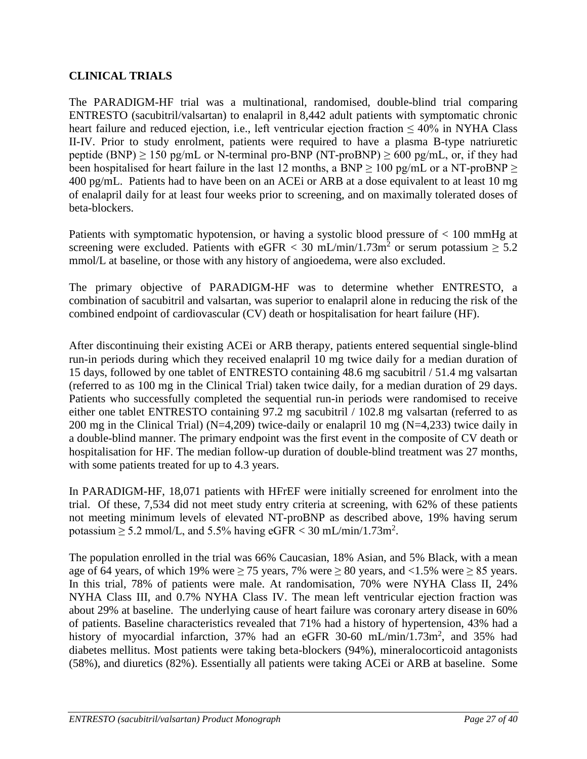# <span id="page-26-0"></span>**CLINICAL TRIALS**

The PARADIGM-HF trial was a multinational, randomised, double-blind trial comparing ENTRESTO (sacubitril/valsartan) to enalapril in 8,442 adult patients with symptomatic chronic heart failure and reduced ejection, i.e., left ventricular ejection fraction  $\leq 40\%$  in NYHA Class II-IV. Prior to study enrolment, patients were required to have a plasma B-type natriuretic peptide (BNP)  $\geq$  150 pg/mL or N-terminal pro-BNP (NT-proBNP)  $\geq$  600 pg/mL, or, if they had been hospitalised for heart failure in the last 12 months, a BNP  $\geq$  100 pg/mL or a NT-proBNP  $\geq$ 400 pg/mL. Patients had to have been on an ACEi or ARB at a dose equivalent to at least 10 mg of enalapril daily for at least four weeks prior to screening, and on maximally tolerated doses of beta-blockers.

Patients with symptomatic hypotension, or having a systolic blood pressure of < 100 mmHg at screening were excluded. Patients with eGFR < 30 mL/min/1.73m<sup>2</sup> or serum potassium  $\geq 5.2$ mmol/L at baseline, or those with any history of angioedema, were also excluded.

The primary objective of PARADIGM-HF was to determine whether ENTRESTO, a combination of sacubitril and valsartan, was superior to enalapril alone in reducing the risk of the combined endpoint of cardiovascular (CV) death or hospitalisation for heart failure (HF).

After discontinuing their existing ACEi or ARB therapy, patients entered sequential single-blind run-in periods during which they received enalapril 10 mg twice daily for a median duration of 15 days, followed by one tablet of ENTRESTO containing 48.6 mg sacubitril / 51.4 mg valsartan (referred to as 100 mg in the Clinical Trial) taken twice daily, for a median duration of 29 days. Patients who successfully completed the sequential run-in periods were randomised to receive either one tablet ENTRESTO containing 97.2 mg sacubitril / 102.8 mg valsartan (referred to as 200 mg in the Clinical Trial) (N=4,209) twice-daily or enalapril 10 mg (N=4,233) twice daily in a double-blind manner. The primary endpoint was the first event in the composite of CV death or hospitalisation for HF. The median follow-up duration of double-blind treatment was 27 months, with some patients treated for up to 4.3 years.

In PARADIGM-HF, 18,071 patients with HFrEF were initially screened for enrolment into the trial. Of these, 7,534 did not meet study entry criteria at screening, with 62% of these patients not meeting minimum levels of elevated NT-proBNP as described above, 19% having serum potassium  $\geq$  5.2 mmol/L, and 5.5% having eGFR < 30 mL/min/1.73m<sup>2</sup>.

The population enrolled in the trial was 66% Caucasian, 18% Asian, and 5% Black, with a mean age of 64 years, of which 19% were  $\geq$  75 years, 7% were  $\geq$  80 years, and <1.5% were  $\geq$  85 years. In this trial, 78% of patients were male. At randomisation, 70% were NYHA Class II, 24% NYHA Class III, and 0.7% NYHA Class IV. The mean left ventricular ejection fraction was about 29% at baseline. The underlying cause of heart failure was coronary artery disease in 60% of patients. Baseline characteristics revealed that 71% had a history of hypertension, 43% had a history of myocardial infarction, 37% had an eGFR 30-60 mL/min/1.73m<sup>2</sup>, and 35% had diabetes mellitus. Most patients were taking beta-blockers (94%), mineralocorticoid antagonists (58%), and diuretics (82%). Essentially all patients were taking ACEi or ARB at baseline. Some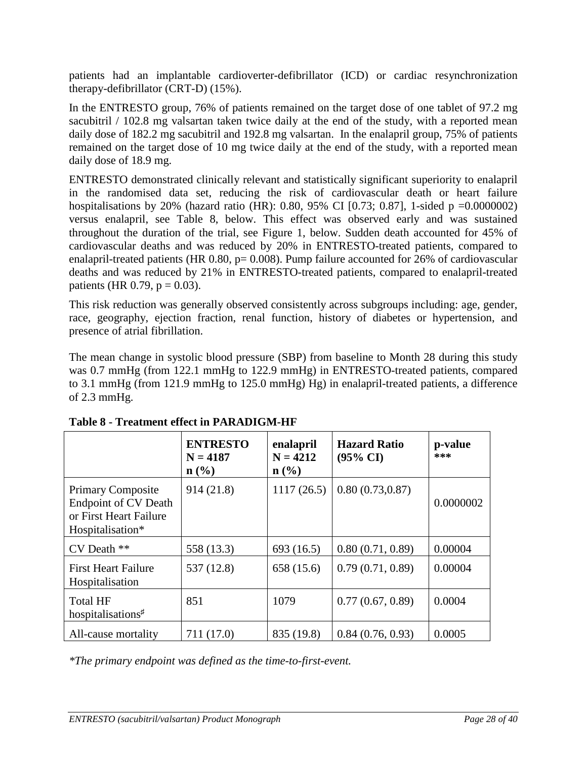patients had an implantable cardioverter-defibrillator (ICD) or cardiac resynchronization therapy-defibrillator (CRT-D) (15%).

In the ENTRESTO group, 76% of patients remained on the target dose of one tablet of 97.2 mg sacubitril / 102.8 mg valsartan taken twice daily at the end of the study, with a reported mean daily dose of 182.2 mg sacubitril and 192.8 mg valsartan. In the enalapril group, 75% of patients remained on the target dose of 10 mg twice daily at the end of the study, with a reported mean daily dose of 18.9 mg.

ENTRESTO demonstrated clinically relevant and statistically significant superiority to enalapril in the randomised data set, reducing the risk of cardiovascular death or heart failure hospitalisations by 20% (hazard ratio (HR): 0.80, 95% CI [0.73; 0.87], 1-sided p =0.0000002) versus enalapril, see Table 8, below. This effect was observed early and was sustained throughout the duration of the trial, see Figure 1, below. Sudden death accounted for 45% of cardiovascular deaths and was reduced by 20% in ENTRESTO-treated patients, compared to enalapril-treated patients (HR 0.80,  $p= 0.008$ ). Pump failure accounted for 26% of cardiovascular deaths and was reduced by 21% in ENTRESTO-treated patients, compared to enalapril-treated patients (HR 0.79,  $p = 0.03$ ).

This risk reduction was generally observed consistently across subgroups including: age, gender, race, geography, ejection fraction, renal function, history of diabetes or hypertension, and presence of atrial fibrillation.

The mean change in systolic blood pressure (SBP) from baseline to Month 28 during this study was 0.7 mmHg (from 122.1 mmHg to 122.9 mmHg) in ENTRESTO-treated patients, compared to 3.1 mmHg (from 121.9 mmHg to 125.0 mmHg) Hg) in enalapril-treated patients, a difference of 2.3 mmHg.

|                                                                                                       | <b>ENTRESTO</b><br>$N = 4187$<br>$\mathbf{n}(\%)$ | enalapril<br>$N = 4212$<br>$n\left(\frac{0}{0}\right)$ | <b>Hazard Ratio</b><br>$(95\% \text{ CI})$ | p-value<br>*** |
|-------------------------------------------------------------------------------------------------------|---------------------------------------------------|--------------------------------------------------------|--------------------------------------------|----------------|
| <b>Primary Composite</b><br><b>Endpoint of CV Death</b><br>or First Heart Failure<br>Hospitalisation* | 914(21.8)                                         | 1117(26.5)                                             | 0.80(0.73, 0.87)                           | 0.0000002      |
| CV Death **                                                                                           | 558 (13.3)                                        | 693 (16.5)                                             | 0.80(0.71, 0.89)                           | 0.00004        |
| <b>First Heart Failure</b><br>Hospitalisation                                                         | 537 (12.8)                                        | 658 (15.6)                                             | 0.79(0.71, 0.89)                           | 0.00004        |
| <b>Total HF</b><br>hospitalisations <sup>#</sup>                                                      | 851                                               | 1079                                                   | 0.77(0.67, 0.89)                           | 0.0004         |
| All-cause mortality                                                                                   | 711 (17.0)                                        | 835 (19.8)                                             | 0.84(0.76, 0.93)                           | 0.0005         |

**Table 8 - Treatment effect in PARADIGM-HF**

*\*The primary endpoint was defined as the time-to-first-event.*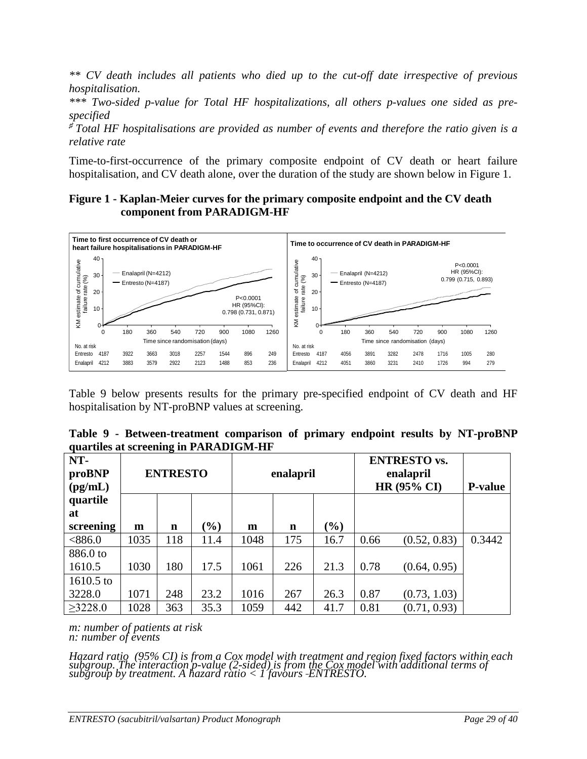*\*\* CV death includes all patients who died up to the cut-off date irrespective of previous hospitalisation.*

*\*\*\* Two-sided p-value for Total HF hospitalizations, all others p-values one sided as prespecified*

*<sup>♯</sup>Total HF hospitalisations are provided as number of events and therefore the ratio given is a relative rate*

Time-to-first-occurrence of the primary composite endpoint of CV death or heart failure hospitalisation, and CV death alone, over the duration of the study are shown below in Figure 1.

### **Figure 1 - Kaplan-Meier curves for the primary composite endpoint and the CV death component from PARADIGM-HF**



Table 9 below presents results for the primary pre-specified endpoint of CV death and HF hospitalisation by NT-proBNP values at screening.

| Table 9 - Between-treatment comparison of primary endpoint results by NT-proBNP |  |  |  |  |
|---------------------------------------------------------------------------------|--|--|--|--|
| quartiles at screening in PARADIGM-HF                                           |  |  |  |  |

| NT-<br>proBNP<br>$\textbf{(pg/mL)}$ |      | <b>ENTRESTO</b> |        | enalapril |     | <b>ENTRESTO vs.</b><br>enalapril<br><b>HR (95% CI)</b> |      | <b>P-value</b> |        |
|-------------------------------------|------|-----------------|--------|-----------|-----|--------------------------------------------------------|------|----------------|--------|
| quartile<br>at                      |      |                 |        |           |     |                                                        |      |                |        |
| screening                           | m    | n               | $(\%)$ | m         | n   | $(\%)$                                                 |      |                |        |
| <886.0                              | 1035 | 118             | 11.4   | 1048      | 175 | 16.7                                                   | 0.66 | (0.52, 0.83)   | 0.3442 |
| 886.0 to                            |      |                 |        |           |     |                                                        |      |                |        |
| 1610.5                              | 1030 | 180             | 17.5   | 1061      | 226 | 21.3                                                   | 0.78 | (0.64, 0.95)   |        |
| 1610.5 to                           |      |                 |        |           |     |                                                        |      |                |        |
| 3228.0                              | 1071 | 248             | 23.2   | 1016      | 267 | 26.3                                                   | 0.87 | (0.73, 1.03)   |        |
| $\geq$ 3228.0                       | 1028 | 363             | 35.3   | 1059      | 442 | 41.7                                                   | 0.81 | (0.71, 0.93)   |        |

*m: number of patients at risk n: number of events*

Hazard ratio (95% CI) is from a Cox model with treatment and region fixed factors within each subgroup. The interaction p-value (2-sided) is from the Cox model with additional terms of subgroup by treatment. A hazard rati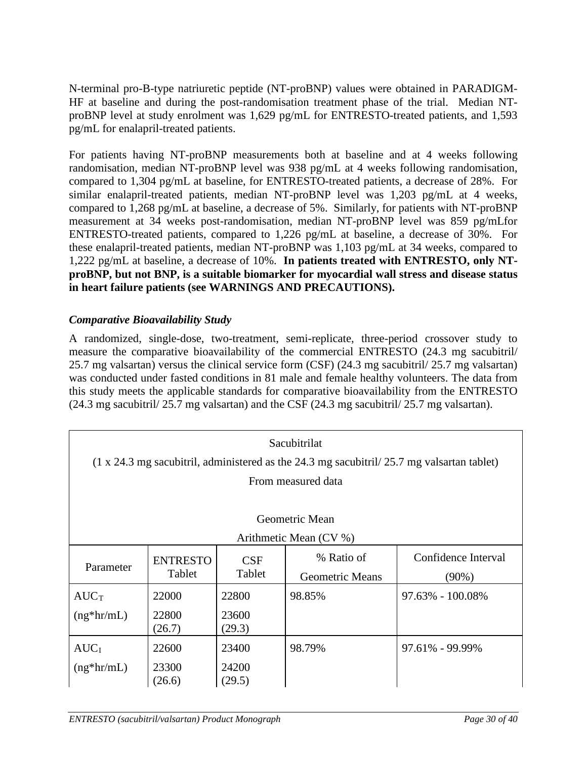N-terminal pro-B-type natriuretic peptide (NT-proBNP) values were obtained in PARADIGM-HF at baseline and during the post-randomisation treatment phase of the trial. Median NTproBNP level at study enrolment was 1,629 pg/mL for ENTRESTO-treated patients, and 1,593 pg/mL for enalapril-treated patients.

For patients having NT-proBNP measurements both at baseline and at 4 weeks following randomisation, median NT-proBNP level was 938 pg/mL at 4 weeks following randomisation, compared to 1,304 pg/mL at baseline, for ENTRESTO-treated patients, a decrease of 28%. For similar enalapril-treated patients, median NT-proBNP level was 1,203 pg/mL at 4 weeks, compared to 1,268 pg/mL at baseline, a decrease of 5%. Similarly, for patients with NT-proBNP measurement at 34 weeks post-randomisation, median NT-proBNP level was 859 pg/mLfor ENTRESTO-treated patients, compared to 1,226 pg/mL at baseline, a decrease of 30%. For these enalapril-treated patients, median NT-proBNP was 1,103 pg/mL at 34 weeks, compared to 1,222 pg/mL at baseline, a decrease of 10%. **In patients treated with ENTRESTO, only NTproBNP, but not BNP, is a suitable biomarker for myocardial wall stress and disease status in heart failure patients (see WARNINGS AND PRECAUTIONS).** 

# *Comparative Bioavailability Study*

A randomized, single-dose, two-treatment, semi-replicate, three-period crossover study to measure the comparative bioavailability of the commercial ENTRESTO (24.3 mg sacubitril/ 25.7 mg valsartan) versus the clinical service form (CSF) (24.3 mg sacubitril/ 25.7 mg valsartan) was conducted under fasted conditions in 81 male and female healthy volunteers. The data from this study meets the applicable standards for comparative bioavailability from the ENTRESTO (24.3 mg sacubitril/ 25.7 mg valsartan) and the CSF (24.3 mg sacubitril/ 25.7 mg valsartan).

| Sacubitrilat<br>$(1 \times 24.3 \text{ mg}$ sacubitril, administered as the 24.3 mg sacubitril/25.7 mg valsartan tablet) |                           |                          |                                      |                                 |  |  |  |
|--------------------------------------------------------------------------------------------------------------------------|---------------------------|--------------------------|--------------------------------------|---------------------------------|--|--|--|
| From measured data                                                                                                       |                           |                          |                                      |                                 |  |  |  |
| Geometric Mean<br>Arithmetic Mean (CV %)                                                                                 |                           |                          |                                      |                                 |  |  |  |
| Parameter                                                                                                                | <b>ENTRESTO</b><br>Tablet | <b>CSF</b><br>Tablet     | % Ratio of<br><b>Geometric Means</b> | Confidence Interval<br>$(90\%)$ |  |  |  |
| $AUC$ <sub>T</sub><br>$(ng*hr/mL)$                                                                                       | 22000<br>22800<br>(26.7)  | 22800<br>23600<br>(29.3) | 98.85%                               | 97.63% - 100.08%                |  |  |  |
| AUC <sub>I</sub><br>$(ng*hr/mL)$                                                                                         | 22600<br>23300<br>(26.6)  | 23400<br>24200<br>(29.5) | 98.79%                               | 97.61% - 99.99%                 |  |  |  |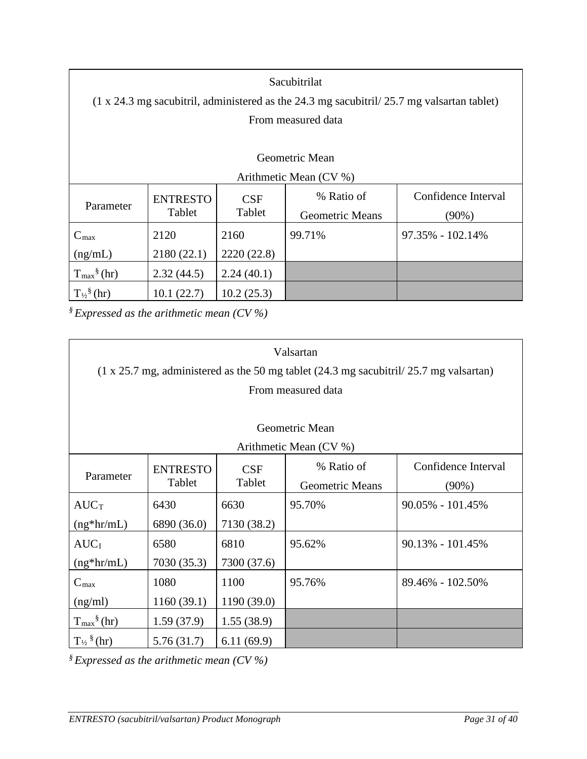| Sacubitrilat<br>$(1 \times 24.3 \text{ mg}$ sacubitril, administered as the 24.3 mg sacubitril/25.7 mg valsartan tablet) |                           |               |                                      |                                 |  |  |  |
|--------------------------------------------------------------------------------------------------------------------------|---------------------------|---------------|--------------------------------------|---------------------------------|--|--|--|
| From measured data                                                                                                       |                           |               |                                      |                                 |  |  |  |
| Geometric Mean<br>Arithmetic Mean (CV %)                                                                                 |                           |               |                                      |                                 |  |  |  |
| Parameter                                                                                                                | <b>ENTRESTO</b><br>Tablet | CSF<br>Tablet | % Ratio of<br><b>Geometric Means</b> | Confidence Interval<br>$(90\%)$ |  |  |  |
| $C_{\text{max}}$                                                                                                         | 2120                      | 2160          | 99.71%                               | $97.35\% - 102.14\%$            |  |  |  |
| (ng/mL)                                                                                                                  | 2180(22.1)                | 2220 (22.8)   |                                      |                                 |  |  |  |
| $T_{\text{max}}^{\S}$ (hr)                                                                                               | 2.32(44.5)                | 2.24(40.1)    |                                      |                                 |  |  |  |
| $T_{\frac{1}{2}}^{\frac{8}{3}}$ (hr)                                                                                     | 10.1(22.7)                | 10.2(25.3)    |                                      |                                 |  |  |  |

*§ Expressed as the arithmetic mean (CV %)*

| Valsartan                  |                 |             |                                                                                                                 |                      |  |  |  |  |
|----------------------------|-----------------|-------------|-----------------------------------------------------------------------------------------------------------------|----------------------|--|--|--|--|
|                            |                 |             | $(1 \times 25.7 \text{ mg},$ administered as the 50 mg tablet $(24.3 \text{ mg}$ sacubitril/ 25.7 mg valsartan) |                      |  |  |  |  |
|                            |                 |             | From measured data                                                                                              |                      |  |  |  |  |
|                            |                 |             |                                                                                                                 |                      |  |  |  |  |
| Geometric Mean             |                 |             |                                                                                                                 |                      |  |  |  |  |
|                            |                 |             | Arithmetic Mean (CV %)                                                                                          |                      |  |  |  |  |
|                            | <b>ENTRESTO</b> | <b>CSF</b>  | % Ratio of                                                                                                      | Confidence Interval  |  |  |  |  |
| Parameter                  | Tablet          | Tablet      | <b>Geometric Means</b>                                                                                          | $(90\%)$             |  |  |  |  |
| $AUC_T$                    | 6430            | 6630        | 95.70%                                                                                                          | $90.05\% - 101.45\%$ |  |  |  |  |
| $(ng*hr/mL)$               | 6890 (36.0)     | 7130 (38.2) |                                                                                                                 |                      |  |  |  |  |
| AUC <sub>I</sub>           | 6580            | 6810        | 95.62%                                                                                                          | $90.13\% - 101.45\%$ |  |  |  |  |
| $(ng*hr/mL)$               | 7030 (35.3)     | 7300 (37.6) |                                                                                                                 |                      |  |  |  |  |
| $C_{\text{max}}$           | 1080            | 1100        | 95.76%                                                                                                          | 89.46% - 102.50%     |  |  |  |  |
| (ng/ml)                    | 1160(39.1)      | 1190(39.0)  |                                                                                                                 |                      |  |  |  |  |
| $T_{\text{max}}^{\S}$ (hr) | 1.59(37.9)      | 1.55(38.9)  |                                                                                                                 |                      |  |  |  |  |
| $T_{\frac{1}{2}}$ (hr)     | 5.76(31.7)      | 6.11(69.9)  |                                                                                                                 |                      |  |  |  |  |

*§ Expressed as the arithmetic mean (CV %)*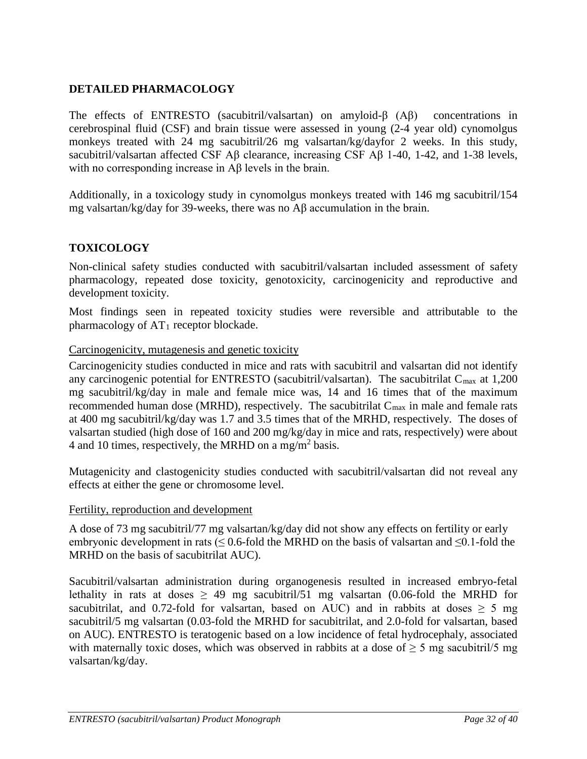# <span id="page-31-0"></span>**DETAILED PHARMACOLOGY**

The effects of ENTRESTO (sacubitril/valsartan) on amyloid-β (Aβ) concentrations in cerebrospinal fluid (CSF) and brain tissue were assessed in young (2-4 year old) cynomolgus monkeys treated with 24 mg sacubitril/26 mg valsartan/kg/dayfor 2 weeks. In this study, sacubitril/valsartan affected CSF Aβ clearance, increasing CSF Aβ 1-40, 1-42, and 1-38 levels, with no corresponding increase in Aβ levels in the brain.

Additionally, in a toxicology study in cynomolgus monkeys treated with 146 mg sacubitril/154 mg valsartan/kg/day for 39-weeks, there was no Aβ accumulation in the brain.

# <span id="page-31-1"></span>**TOXICOLOGY**

Non-clinical safety studies conducted with sacubitril/valsartan included assessment of safety pharmacology, repeated dose toxicity, genotoxicity, carcinogenicity and reproductive and development toxicity.

Most findings seen in repeated toxicity studies were reversible and attributable to the pharmacology of  $AT_1$  receptor blockade.

#### Carcinogenicity, mutagenesis and genetic toxicity

Carcinogenicity studies conducted in mice and rats with sacubitril and valsartan did not identify any carcinogenic potential for ENTRESTO (sacubitril/valsartan). The sacubitrilat  $C_{\text{max}}$  at 1,200 mg sacubitril/kg/day in male and female mice was, 14 and 16 times that of the maximum recommended human dose (MRHD), respectively. The sacubitrilat  $C_{\text{max}}$  in male and female rats at 400 mg sacubitril/kg/day was 1.7 and 3.5 times that of the MRHD, respectively. The doses of valsartan studied (high dose of 160 and 200 mg/kg/day in mice and rats, respectively) were about 4 and 10 times, respectively, the MRHD on a mg/m<sup>2</sup> basis.

Mutagenicity and clastogenicity studies conducted with sacubitril/valsartan did not reveal any effects at either the gene or chromosome level.

#### Fertility, reproduction and development

A dose of 73 mg sacubitril/77 mg valsartan/kg/day did not show any effects on fertility or early embryonic development in rats ( $\leq$  0.6-fold the MRHD on the basis of valsartan and  $\leq$ 0.1-fold the MRHD on the basis of sacubitrilat AUC).

Sacubitril/valsartan administration during organogenesis resulted in increased embryo-fetal lethality in rats at doses  $\geq$  49 mg sacubitril/51 mg valsartan (0.06-fold the MRHD for sacubitrilat, and 0.72-fold for valsartan, based on AUC) and in rabbits at doses  $\geq$  5 mg sacubitril/5 mg valsartan (0.03-fold the MRHD for sacubitrilat, and 2.0-fold for valsartan, based on AUC). ENTRESTO is teratogenic based on a low incidence of fetal hydrocephaly, associated with maternally toxic doses, which was observed in rabbits at a dose of  $\geq$  5 mg sacubitril/5 mg valsartan/kg/day.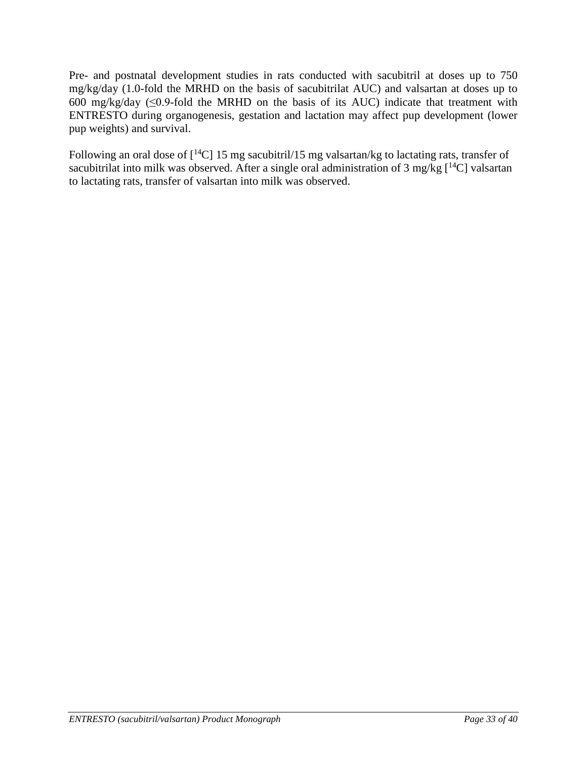Pre- and postnatal development studies in rats conducted with sacubitril at doses up to 750 mg/kg/day (1.0-fold the MRHD on the basis of sacubitrilat AUC) and valsartan at doses up to 600 mg/kg/day  $(\leq 0.9$ -fold the MRHD on the basis of its AUC) indicate that treatment with ENTRESTO during organogenesis, gestation and lactation may affect pup development (lower pup weights) and survival.

Following an oral dose of  $\lceil {^{14}C} \rceil$  15 mg sacubitril/15 mg valsartan/kg to lactating rats, transfer of sacubitrilat into milk was observed. After a single oral administration of 3 mg/kg  $[^{14}C]$  valsartan to lactating rats, transfer of valsartan into milk was observed.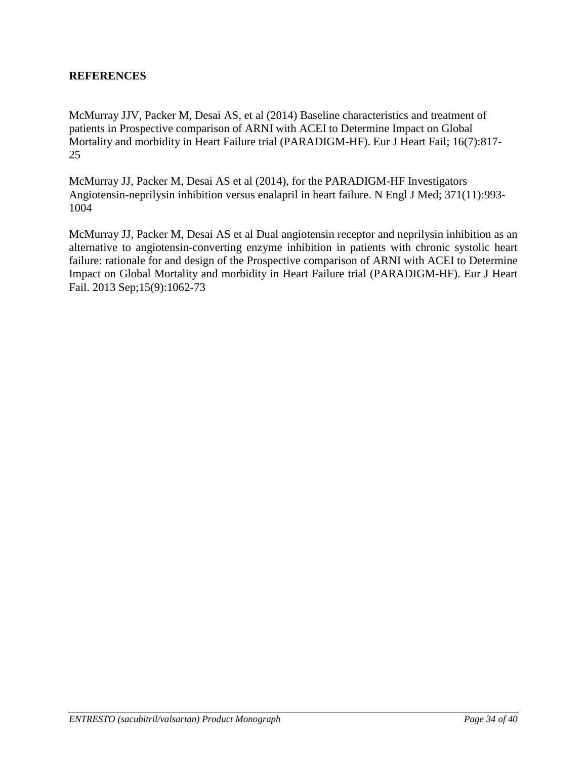### <span id="page-33-0"></span>**REFERENCES**

McMurray JJV, Packer M, Desai AS, et al (2014) Baseline characteristics and treatment of patients in Prospective comparison of ARNI with ACEI to Determine Impact on Global Mortality and morbidity in Heart Failure trial (PARADIGM-HF). Eur J Heart Fail; 16(7):817- 25

McMurray JJ, Packer M, Desai AS et al (2014), for the PARADIGM-HF Investigators Angiotensin-neprilysin inhibition versus enalapril in heart failure. N Engl J Med; 371(11):993- 1004

McMurray JJ, Packer M, Desai AS et al Dual angiotensin receptor and neprilysin inhibition as an alternative to angiotensin-converting enzyme inhibition in patients with chronic systolic heart failure: rationale for and design of the Prospective comparison of ARNI with ACEI to Determine Impact on Global Mortality and morbidity in Heart Failure trial (PARADIGM-HF). Eur J Heart Fail. 2013 Sep;15(9):1062-73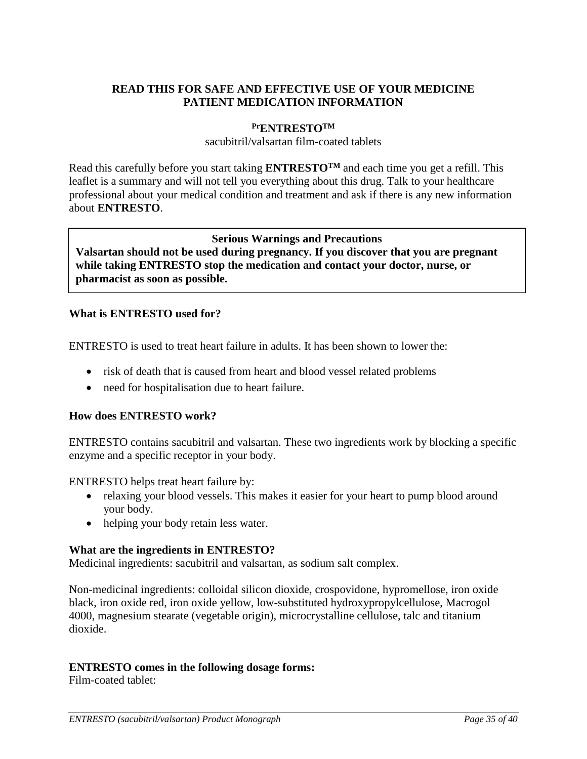# **READ THIS FOR SAFE AND EFFECTIVE USE OF YOUR MEDICINE PATIENT MEDICATION INFORMATION**

### <span id="page-34-0"></span>**PrENTRESTOTM**

sacubitril/valsartan film-coated tablets

Read this carefully before you start taking **ENTRESTO<sup>TM</sup>** and each time you get a refill. This leaflet is a summary and will not tell you everything about this drug. Talk to your healthcare professional about your medical condition and treatment and ask if there is any new information about **ENTRESTO**.

### **Serious Warnings and Precautions Valsartan should not be used during pregnancy. If you discover that you are pregnant while taking ENTRESTO stop the medication and contact your doctor, nurse, or pharmacist as soon as possible.**

### **What is ENTRESTO used for?**

ENTRESTO is used to treat heart failure in adults. It has been shown to lower the:

- risk of death that is caused from heart and blood vessel related problems
- need for hospitalisation due to heart failure.

#### **How does ENTRESTO work?**

ENTRESTO contains sacubitril and valsartan. These two ingredients work by blocking a specific enzyme and a specific receptor in your body.

ENTRESTO helps treat heart failure by:

- relaxing your blood vessels. This makes it easier for your heart to pump blood around your body.
- helping your body retain less water.

#### **What are the ingredients in ENTRESTO?**

Medicinal ingredients: sacubitril and valsartan, as sodium salt complex.

Non-medicinal ingredients: colloidal silicon dioxide, crospovidone, hypromellose, iron oxide black, iron oxide red, iron oxide yellow, low-substituted hydroxypropylcellulose, Macrogol 4000, magnesium stearate (vegetable origin), microcrystalline cellulose, talc and titanium dioxide.

#### **ENTRESTO comes in the following dosage forms:**

Film-coated tablet: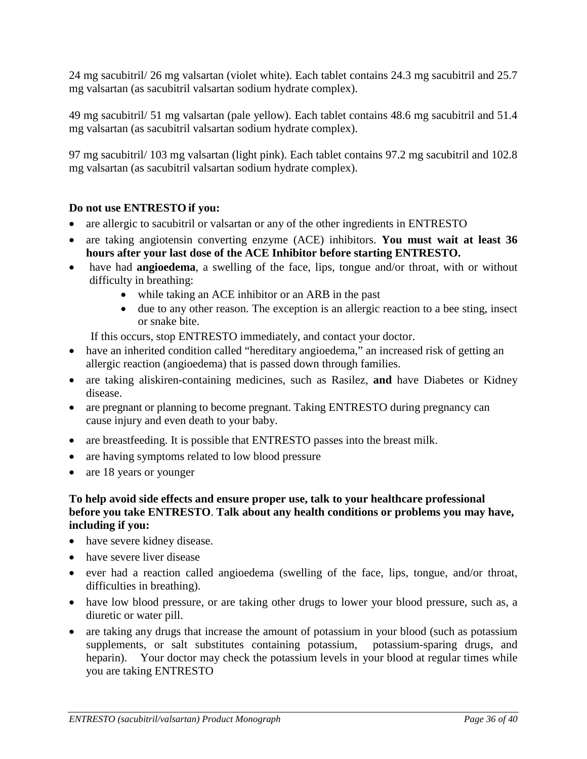24 mg sacubitril/ 26 mg valsartan (violet white). Each tablet contains 24.3 mg sacubitril and 25.7 mg valsartan (as sacubitril valsartan sodium hydrate complex).

49 mg sacubitril/ 51 mg valsartan (pale yellow). Each tablet contains 48.6 mg sacubitril and 51.4 mg valsartan (as sacubitril valsartan sodium hydrate complex).

97 mg sacubitril/ 103 mg valsartan (light pink). Each tablet contains 97.2 mg sacubitril and 102.8 mg valsartan (as sacubitril valsartan sodium hydrate complex).

# **Do not use ENTRESTO if you:**

- are allergic to sacubitril or validation or any of the other ingredients in ENTRESTO
- are taking angiotensin converting enzyme (ACE) inhibitors. **You must wait at least 36 hours after your last dose of the ACE Inhibitor before starting ENTRESTO.**
- have had **angioedema**, a swelling of the face, lips, tongue and/or throat, with or without difficulty in breathing:
	- while taking an ACE inhibitor or an ARB in the past
	- due to any other reason. The exception is an allergic reaction to a bee sting, insect or snake bite.

If this occurs, stop ENTRESTO immediately, and contact your doctor.

- have an inherited condition called "hereditary angioedema," an increased risk of getting an allergic reaction (angioedema) that is passed down through families.
- are taking aliskiren-containing medicines, such as Rasilez, **and** have Diabetes or Kidney disease.
- are pregnant or planning to become pregnant. Taking ENTRESTO during pregnancy can cause injury and even death to your baby.
- are breastfeeding. It is possible that ENTRESTO passes into the breast milk.
- are having symptoms related to low blood pressure
- are 18 years or younger

### **To help avoid side effects and ensure proper use, talk to your healthcare professional before you take ENTRESTO**. **Talk about any health conditions or problems you may have, including if you:**

- have severe kidney disease.
- have severe liver disease
- ever had a reaction called angioedema (swelling of the face, lips, tongue, and/or throat, difficulties in breathing).
- have low blood pressure, or are taking other drugs to lower your blood pressure, such as, a diuretic or water pill.
- are taking any drugs that increase the amount of potassium in your blood (such as potassium supplements, or salt substitutes containing potassium, potassium-sparing drugs, and heparin). Your doctor may check the potassium levels in your blood at regular times while you are taking ENTRESTO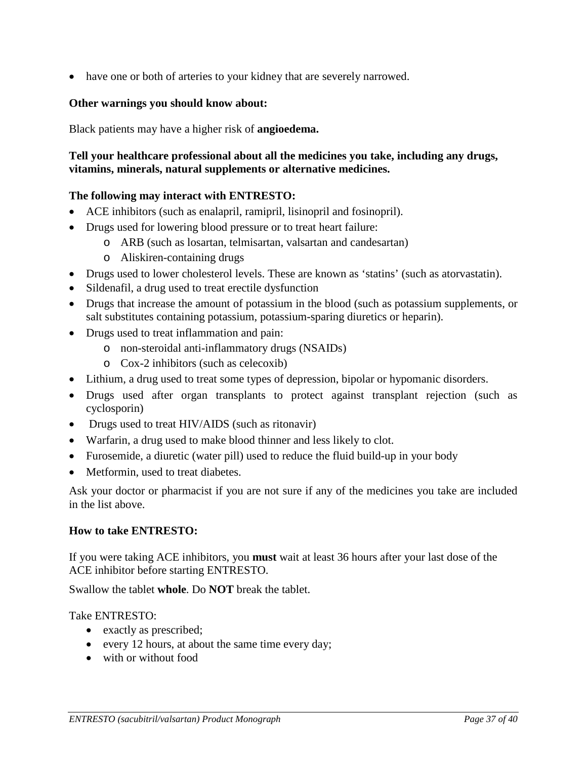• have one or both of arteries to your kidney that are severely narrowed.

### **Other warnings you should know about:**

Black patients may have a higher risk of **angioedema.**

# **Tell your healthcare professional about all the medicines you take, including any drugs, vitamins, minerals, natural supplements or alternative medicines.**

### **The following may interact with ENTRESTO:**

- ACE inhibitors (such as enalapril, ramipril, lisinopril and fosinopril).
- Drugs used for lowering blood pressure or to treat heart failure:
	- o ARB (such as losartan, telmisartan, valsartan and candesartan)
	- o Aliskiren-containing drugs
- Drugs used to lower cholesterol levels. These are known as 'statins' (such as atorvastatin).
- Sildenafil, a drug used to treat erectile dysfunction
- Drugs that increase the amount of potassium in the blood (such as potassium supplements, or salt substitutes containing potassium, potassium-sparing diuretics or heparin).
- Drugs used to treat inflammation and pain:
	- o non-steroidal anti-inflammatory drugs (NSAIDs)
	- o Cox-2 inhibitors (such as celecoxib)
- Lithium, a drug used to treat some types of depression, bipolar or hypomanic disorders.
- Drugs used after organ transplants to protect against transplant rejection (such as cyclosporin)
- Drugs used to treat HIV/AIDS (such as ritonavir)
- Warfarin, a drug used to make blood thinner and less likely to clot.
- Furosemide, a diuretic (water pill) used to reduce the fluid build-up in your body
- Metformin, used to treat diabetes.

Ask your doctor or pharmacist if you are not sure if any of the medicines you take are included in the list above.

#### **How to take ENTRESTO:**

If you were taking ACE inhibitors, you **must** wait at least 36 hours after your last dose of the ACE inhibitor before starting ENTRESTO.

Swallow the tablet **whole**. Do **NOT** break the tablet.

#### Take ENTRESTO:

- exactly as prescribed;
- every 12 hours, at about the same time every day;
- with or without food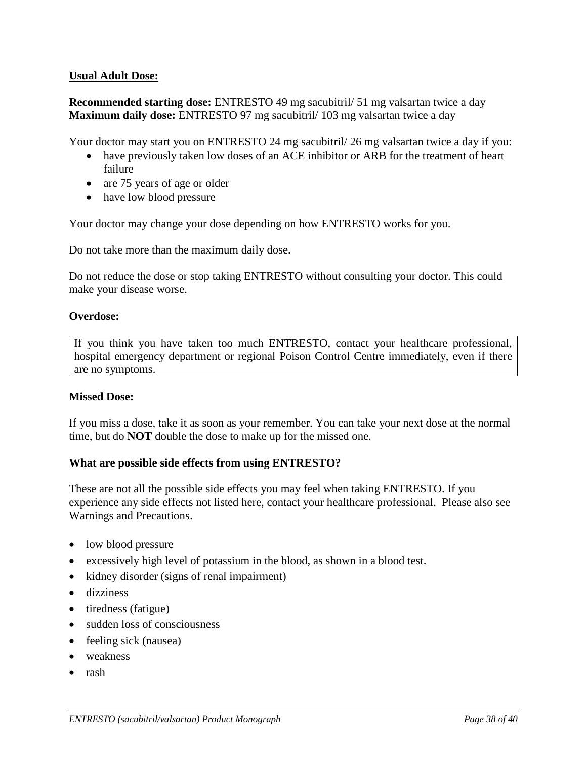### **Usual Adult Dose:**

**Recommended starting dose:** ENTRESTO 49 mg sacubitril/ 51 mg valsartan twice a day **Maximum daily dose:** ENTRESTO 97 mg sacubitril/ 103 mg valsartan twice a day

Your doctor may start you on ENTRESTO 24 mg sacubitril/ 26 mg valsartan twice a day if you:

- have previously taken low doses of an ACE inhibitor or ARB for the treatment of heart failure
- are 75 years of age or older
- have low blood pressure

Your doctor may change your dose depending on how ENTRESTO works for you.

Do not take more than the maximum daily dose.

Do not reduce the dose or stop taking ENTRESTO without consulting your doctor. This could make your disease worse.

### **Overdose:**

If you think you have taken too much ENTRESTO, contact your healthcare professional, hospital emergency department or regional Poison Control Centre immediately, even if there are no symptoms.

#### **Missed Dose:**

If you miss a dose, take it as soon as your remember. You can take your next dose at the normal time, but do **NOT** double the dose to make up for the missed one.

#### **What are possible side effects from using ENTRESTO?**

These are not all the possible side effects you may feel when taking ENTRESTO. If you experience any side effects not listed here, contact your healthcare professional. Please also see Warnings and Precautions.

- low blood pressure
- excessively high level of potassium in the blood, as shown in a blood test.
- kidney disorder (signs of renal impairment)
- dizziness
- tiredness (fatigue)
- sudden loss of consciousness
- feeling sick (nausea)
- weakness
- rash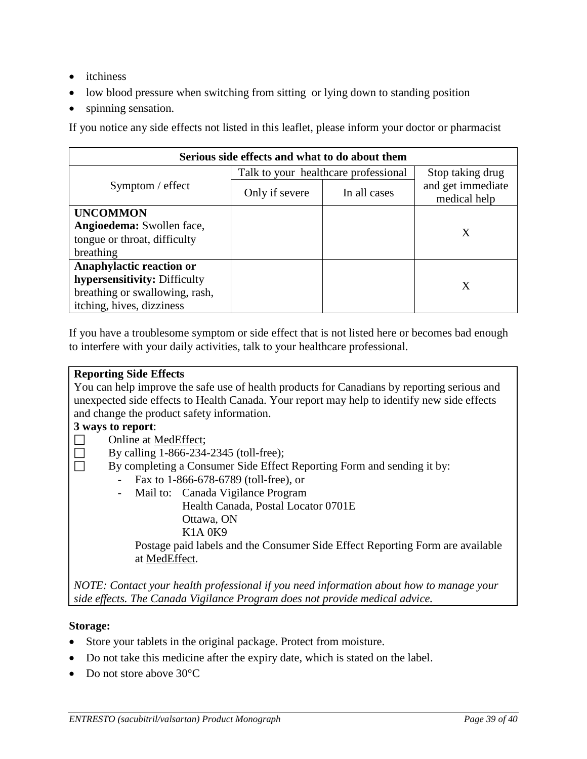- *itchiness*
- low blood pressure when switching from sitting or lying down to standing position
- spinning sensation.

If you notice any side effects not listed in this leaflet, please inform your doctor or pharmacist

| Serious side effects and what to do about them |                                      |                  |                                   |  |  |  |  |
|------------------------------------------------|--------------------------------------|------------------|-----------------------------------|--|--|--|--|
|                                                | Talk to your healthcare professional | Stop taking drug |                                   |  |  |  |  |
| $Symptom /$ effect                             | In all cases<br>Only if severe       |                  | and get immediate<br>medical help |  |  |  |  |
| <b>UNCOMMON</b>                                |                                      |                  |                                   |  |  |  |  |
| Angioedema: Swollen face,                      |                                      |                  | Χ                                 |  |  |  |  |
| tongue or throat, difficulty                   |                                      |                  |                                   |  |  |  |  |
| breathing                                      |                                      |                  |                                   |  |  |  |  |
| Anaphylactic reaction or                       |                                      |                  |                                   |  |  |  |  |
| hypersensitivity: Difficulty                   |                                      |                  | X                                 |  |  |  |  |
| breathing or swallowing, rash,                 |                                      |                  |                                   |  |  |  |  |
| itching, hives, dizziness                      |                                      |                  |                                   |  |  |  |  |

If you have a troublesome symptom or side effect that is not listed here or becomes bad enough to interfere with your daily activities, talk to your healthcare professional.

#### **Reporting Side Effects**

You can help improve the safe use of health products for Canadians by reporting serious and unexpected side effects to Health Canada. Your report may help to identify new side effects and change the product safety information.

### **3 ways to report**:

- □ Online at [MedEffect;](http://hc-sc.gc.ca/dhp-mps/medeff/index-eng.php)
- By calling  $1-866-234-2345$  (toll-free);
- By completing a Consumer Side Effect Reporting Form and sending it by:
	- Fax to 1-866-678-6789 (toll-free), or
	- Mail to: Canada Vigilance Program Health Canada, Postal Locator 0701E Ottawa, ON K1A 0K9

Postage paid labels and the Consumer Side Effect Reporting Form are available at [MedEffect.](http://hc-sc.gc.ca/dhp-mps/medeff/index-eng.php)

*NOTE: Contact your health professional if you need information about how to manage your side effects. The Canada Vigilance Program does not provide medical advice.*

#### **Storage:**

- Store your tablets in the original package. Protect from moisture.
- Do not take this medicine after the expiry date, which is stated on the label.
- Do not store above 30°C.